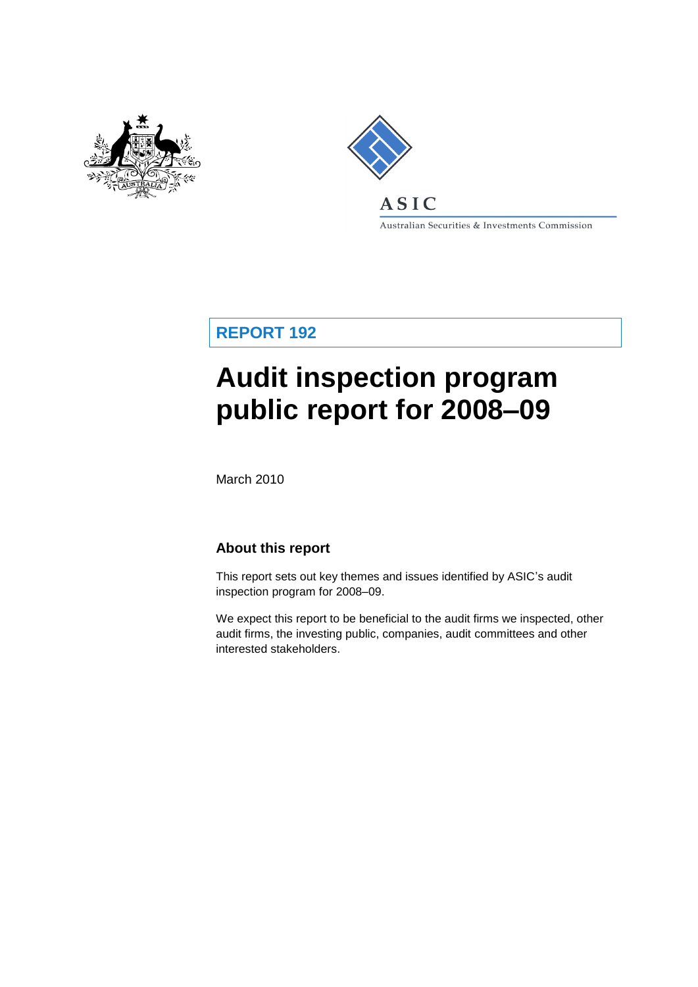



Australian Securities & Investments Commission

**REPORT 192**

# **Audit inspection program public report for 2008–09**

March 2010

## **About this report**

This report sets out key themes and issues identified by ASIC's audit inspection program for 2008–09.

We expect this report to be beneficial to the audit firms we inspected, other audit firms, the investing public, companies, audit committees and other interested stakeholders.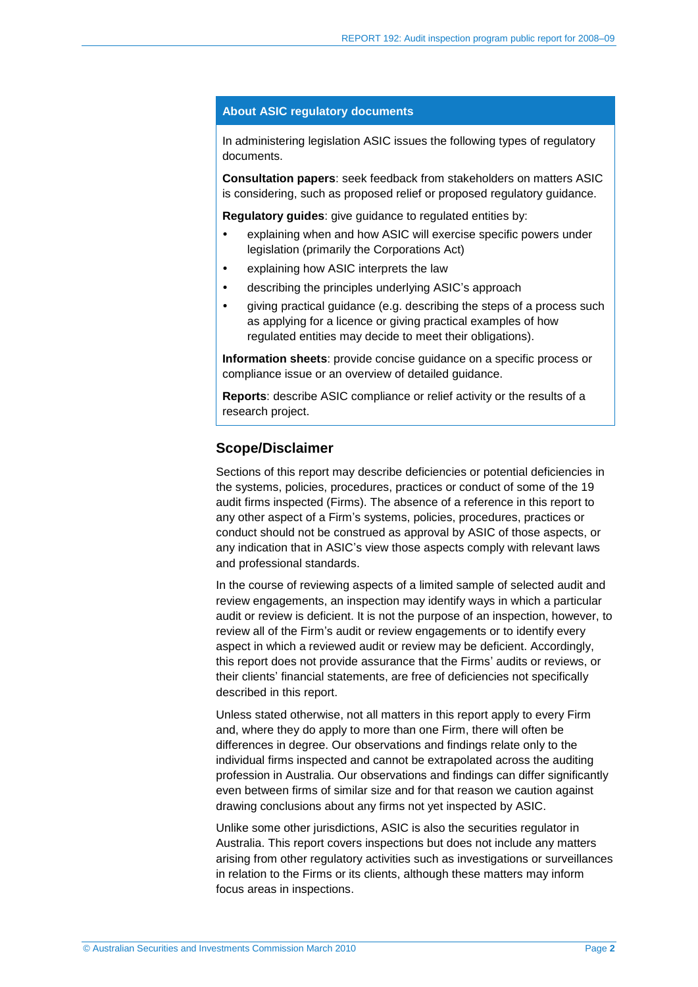#### **About ASIC regulatory documents**

In administering legislation ASIC issues the following types of regulatory documents.

**Consultation papers**: seek feedback from stakeholders on matters ASIC is considering, such as proposed relief or proposed regulatory guidance.

**Regulatory guides**: give guidance to regulated entities by:

- explaining when and how ASIC will exercise specific powers under legislation (primarily the Corporations Act)
- explaining how ASIC interprets the law
- describing the principles underlying ASIC's approach
- giving practical guidance (e.g. describing the steps of a process such as applying for a licence or giving practical examples of how regulated entities may decide to meet their obligations).

**Information sheets**: provide concise guidance on a specific process or compliance issue or an overview of detailed guidance.

**Reports**: describe ASIC compliance or relief activity or the results of a research project.

#### **Scope/Disclaimer**

Sections of this report may describe deficiencies or potential deficiencies in the systems, policies, procedures, practices or conduct of some of the 19 audit firms inspected (Firms). The absence of a reference in this report to any other aspect of a Firm's systems, policies, procedures, practices or conduct should not be construed as approval by ASIC of those aspects, or any indication that in ASIC's view those aspects comply with relevant laws and professional standards.

In the course of reviewing aspects of a limited sample of selected audit and review engagements, an inspection may identify ways in which a particular audit or review is deficient. It is not the purpose of an inspection, however, to review all of the Firm's audit or review engagements or to identify every aspect in which a reviewed audit or review may be deficient. Accordingly, this report does not provide assurance that the Firms' audits or reviews, or their clients' financial statements, are free of deficiencies not specifically described in this report.

Unless stated otherwise, not all matters in this report apply to every Firm and, where they do apply to more than one Firm, there will often be differences in degree. Our observations and findings relate only to the individual firms inspected and cannot be extrapolated across the auditing profession in Australia. Our observations and findings can differ significantly even between firms of similar size and for that reason we caution against drawing conclusions about any firms not yet inspected by ASIC.

Unlike some other jurisdictions, ASIC is also the securities regulator in Australia. This report covers inspections but does not include any matters arising from other regulatory activities such as investigations or surveillances in relation to the Firms or its clients, although these matters may inform focus areas in inspections.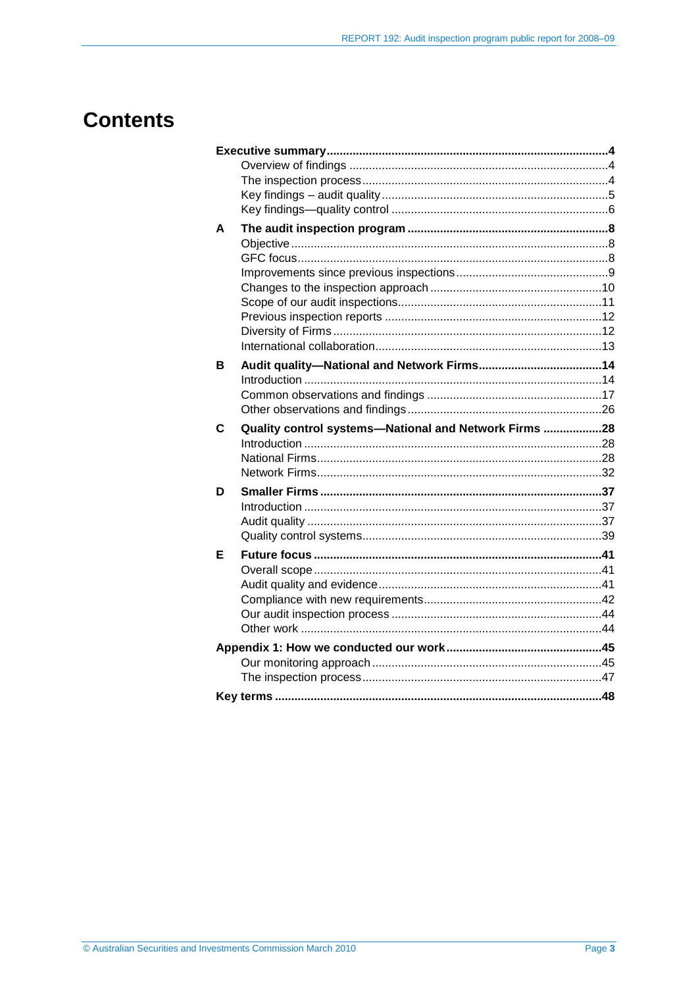## **Contents**

| A |                                                       |  |
|---|-------------------------------------------------------|--|
|   |                                                       |  |
|   |                                                       |  |
|   |                                                       |  |
|   |                                                       |  |
|   |                                                       |  |
|   |                                                       |  |
|   |                                                       |  |
|   |                                                       |  |
| в |                                                       |  |
|   |                                                       |  |
|   |                                                       |  |
|   |                                                       |  |
| C | Quality control systems-National and Network Firms 28 |  |
|   |                                                       |  |
|   |                                                       |  |
|   |                                                       |  |
| D |                                                       |  |
|   |                                                       |  |
|   |                                                       |  |
|   |                                                       |  |
| Е |                                                       |  |
|   |                                                       |  |
|   |                                                       |  |
|   |                                                       |  |
|   |                                                       |  |
|   |                                                       |  |
|   |                                                       |  |
|   |                                                       |  |
|   |                                                       |  |
|   |                                                       |  |
|   |                                                       |  |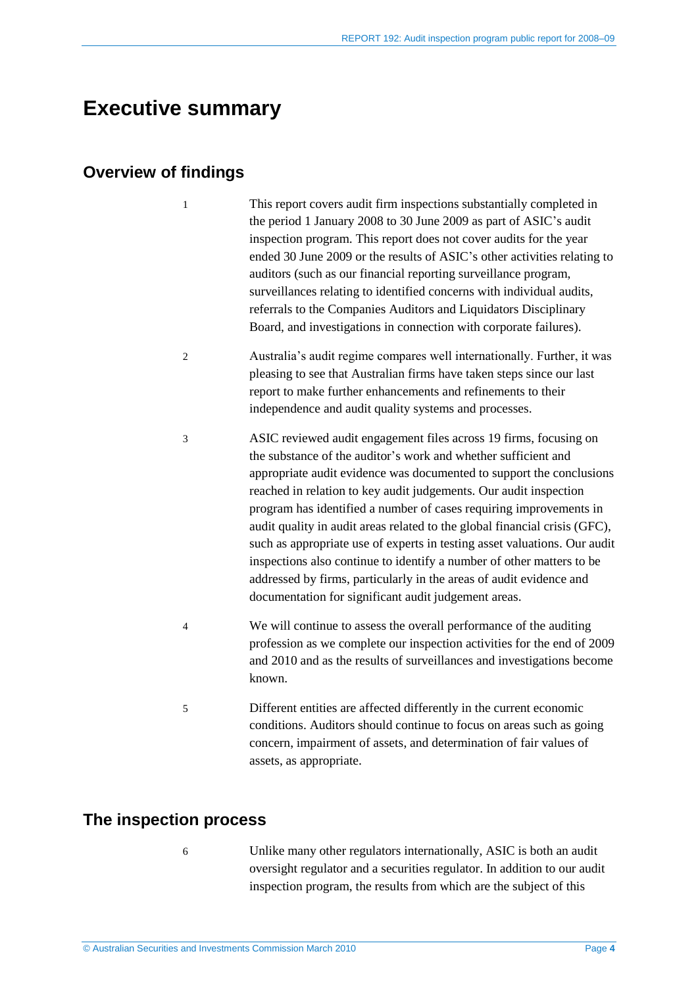## <span id="page-3-0"></span>**Executive summary**

## <span id="page-3-1"></span>**Overview of findings**

- 1 This report covers audit firm inspections substantially completed in the period 1 January 2008 to 30 June 2009 as part of ASIC's audit inspection program. This report does not cover audits for the year ended 30 June 2009 or the results of ASIC's other activities relating to auditors (such as our financial reporting surveillance program, surveillances relating to identified concerns with individual audits, referrals to the Companies Auditors and Liquidators Disciplinary Board, and investigations in connection with corporate failures).
- 2 Australia's audit regime compares well internationally. Further, it was pleasing to see that Australian firms have taken steps since our last report to make further enhancements and refinements to their independence and audit quality systems and processes.
- 3 ASIC reviewed audit engagement files across 19 firms, focusing on the substance of the auditor's work and whether sufficient and appropriate audit evidence was documented to support the conclusions reached in relation to key audit judgements. Our audit inspection program has identified a number of cases requiring improvements in audit quality in audit areas related to the global financial crisis (GFC), such as appropriate use of experts in testing asset valuations. Our audit inspections also continue to identify a number of other matters to be addressed by firms, particularly in the areas of audit evidence and documentation for significant audit judgement areas.
- 4 We will continue to assess the overall performance of the auditing profession as we complete our inspection activities for the end of 2009 and 2010 and as the results of surveillances and investigations become known.
- 5 Different entities are affected differently in the current economic conditions. Auditors should continue to focus on areas such as going concern, impairment of assets, and determination of fair values of assets, as appropriate.

### <span id="page-3-2"></span>**The inspection process**

- 
- 6 Unlike many other regulators internationally, ASIC is both an audit oversight regulator and a securities regulator. In addition to our audit inspection program, the results from which are the subject of this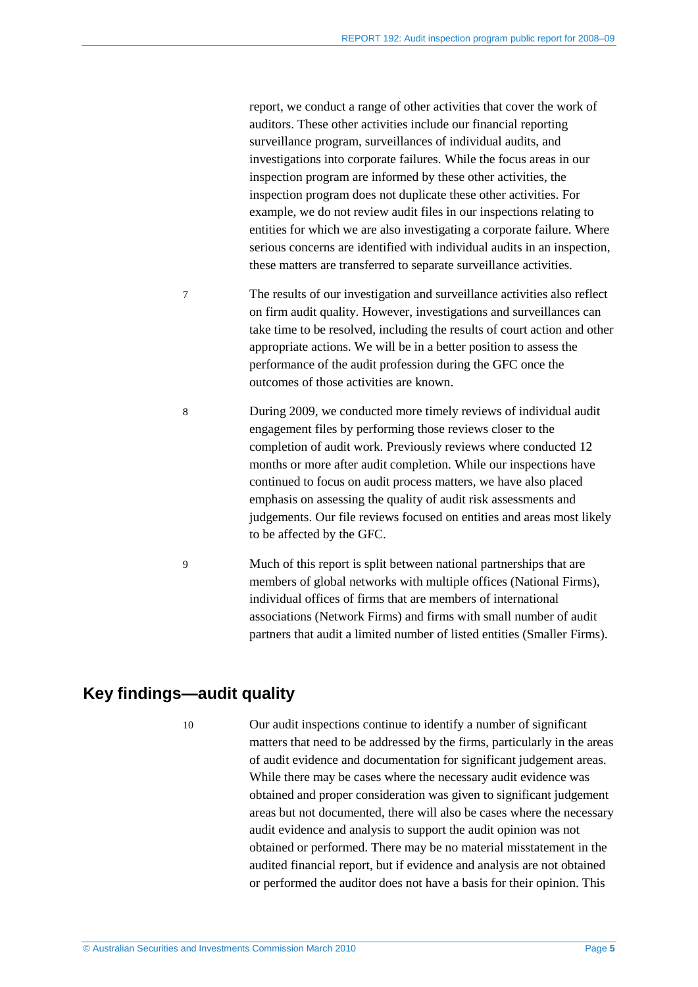report, we conduct a range of other activities that cover the work of auditors. These other activities include our financial reporting surveillance program, surveillances of individual audits, and investigations into corporate failures. While the focus areas in our inspection program are informed by these other activities, the inspection program does not duplicate these other activities. For example, we do not review audit files in our inspections relating to entities for which we are also investigating a corporate failure. Where serious concerns are identified with individual audits in an inspection, these matters are transferred to separate surveillance activities.

- 7 The results of our investigation and surveillance activities also reflect on firm audit quality. However, investigations and surveillances can take time to be resolved, including the results of court action and other appropriate actions. We will be in a better position to assess the performance of the audit profession during the GFC once the outcomes of those activities are known.
- 8 During 2009, we conducted more timely reviews of individual audit engagement files by performing those reviews closer to the completion of audit work. Previously reviews where conducted 12 months or more after audit completion. While our inspections have continued to focus on audit process matters, we have also placed emphasis on assessing the quality of audit risk assessments and judgements. Our file reviews focused on entities and areas most likely to be affected by the GFC.

9 Much of this report is split between national partnerships that are members of global networks with multiple offices (National Firms), individual offices of firms that are members of international associations (Network Firms) and firms with small number of audit partners that audit a limited number of listed entities (Smaller Firms).

## <span id="page-4-0"></span>**Key findings—audit quality**

10 Our audit inspections continue to identify a number of significant matters that need to be addressed by the firms, particularly in the areas of audit evidence and documentation for significant judgement areas. While there may be cases where the necessary audit evidence was obtained and proper consideration was given to significant judgement areas but not documented, there will also be cases where the necessary audit evidence and analysis to support the audit opinion was not obtained or performed. There may be no material misstatement in the audited financial report, but if evidence and analysis are not obtained or performed the auditor does not have a basis for their opinion. This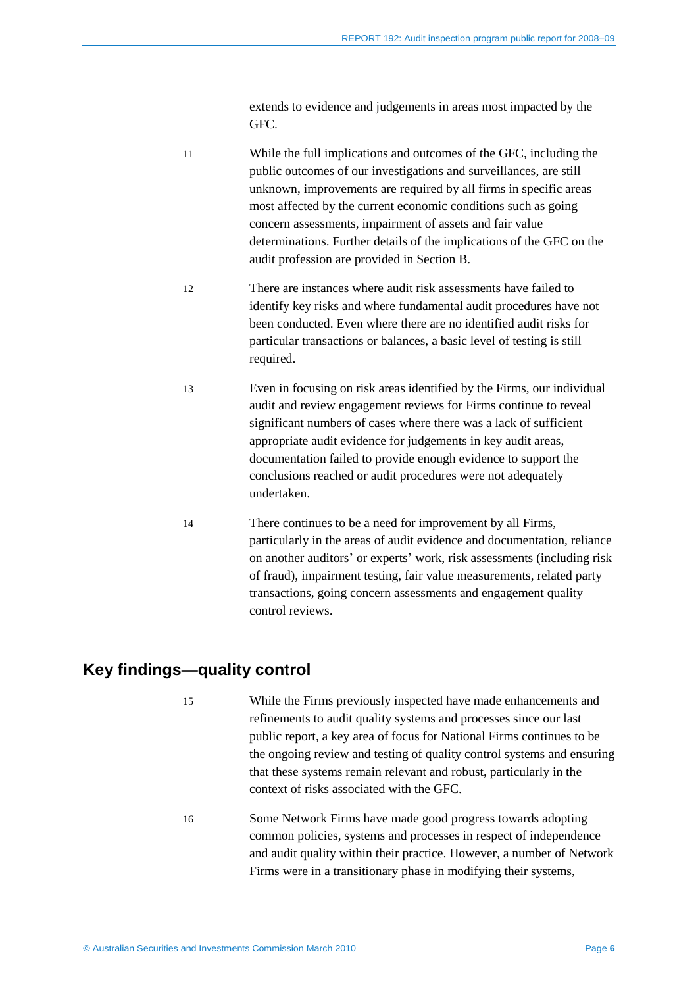extends to evidence and judgements in areas most impacted by the GFC.

- 11 While the full implications and outcomes of the GFC, including the public outcomes of our investigations and surveillances, are still unknown, improvements are required by all firms in specific areas most affected by the current economic conditions such as going concern assessments, impairment of assets and fair value determinations. Further details of the implications of the GFC on the audit profession are provided in Section B. 12 There are instances where audit risk assessments have failed to
- identify key risks and where fundamental audit procedures have not been conducted. Even where there are no identified audit risks for particular transactions or balances, a basic level of testing is still required.
- 13 Even in focusing on risk areas identified by the Firms, our individual audit and review engagement reviews for Firms continue to reveal significant numbers of cases where there was a lack of sufficient appropriate audit evidence for judgements in key audit areas, documentation failed to provide enough evidence to support the conclusions reached or audit procedures were not adequately undertaken.
- 14 There continues to be a need for improvement by all Firms, particularly in the areas of audit evidence and documentation, reliance on another auditors' or experts' work, risk assessments (including risk of fraud), impairment testing, fair value measurements, related party transactions, going concern assessments and engagement quality control reviews.

## <span id="page-5-0"></span>**Key findings—quality control**

- 15 While the Firms previously inspected have made enhancements and refinements to audit quality systems and processes since our last public report, a key area of focus for National Firms continues to be the ongoing review and testing of quality control systems and ensuring that these systems remain relevant and robust, particularly in the context of risks associated with the GFC.
- 16 Some Network Firms have made good progress towards adopting common policies, systems and processes in respect of independence and audit quality within their practice. However, a number of Network Firms were in a transitionary phase in modifying their systems,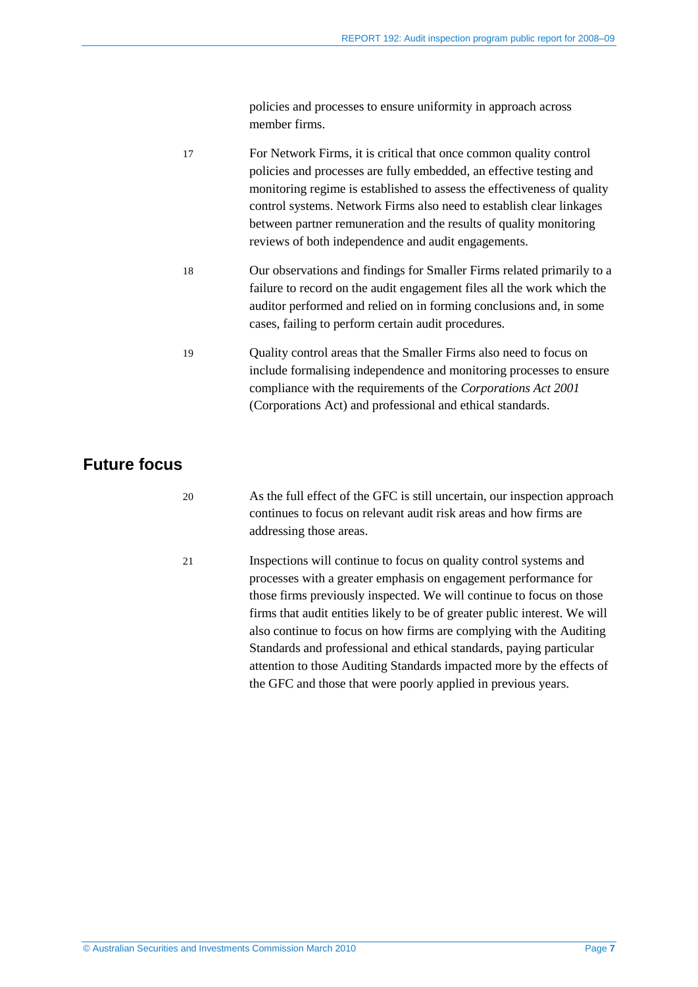policies and processes to ensure uniformity in approach across member firms.

| 17 | For Network Firms, it is critical that once common quality control      |
|----|-------------------------------------------------------------------------|
|    | policies and processes are fully embedded, an effective testing and     |
|    | monitoring regime is established to assess the effectiveness of quality |
|    | control systems. Network Firms also need to establish clear linkages    |
|    | between partner remuneration and the results of quality monitoring      |
|    | reviews of both independence and audit engagements.                     |
| 18 | Our observations and findings for Smaller Firms related primarily to a  |
|    | failure to record on the audit engagement files all the work which the  |
|    | auditor performed and relied on in forming conclusions and, in some     |
|    | cases, failing to perform certain audit procedures.                     |
|    |                                                                         |
| 19 | Quality control areas that the Smaller Firms also need to focus on      |
|    | include formalising independence and monitoring processes to ensure     |
|    | compliance with the requirements of the Corporations Act 2001           |
|    | (Corporations Act) and professional and ethical standards.              |

## **Future focus**

20 As the full effect of the GFC is still uncertain, our inspection approach continues to focus on relevant audit risk areas and how firms are addressing those areas.

21 Inspections will continue to focus on quality control systems and processes with a greater emphasis on engagement performance for those firms previously inspected. We will continue to focus on those firms that audit entities likely to be of greater public interest. We will also continue to focus on how firms are complying with the Auditing Standards and professional and ethical standards, paying particular attention to those Auditing Standards impacted more by the effects of the GFC and those that were poorly applied in previous years.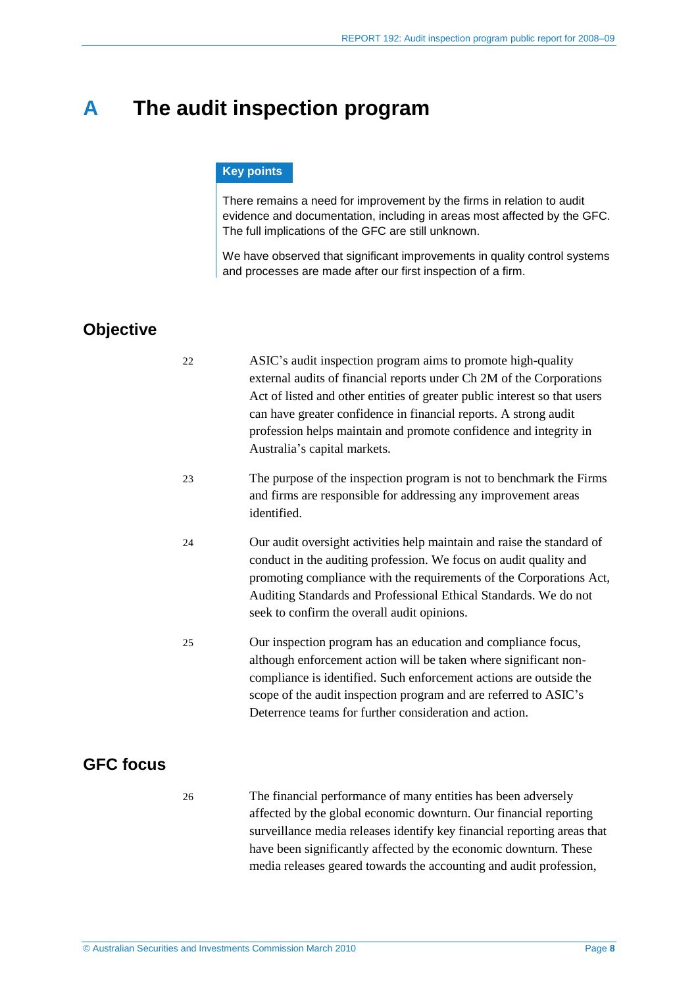## <span id="page-7-0"></span>**A The audit inspection program**

#### **Key points**

There remains a need for improvement by the firms in relation to audit evidence and documentation, including in areas most affected by the GFC. The full implications of the GFC are still unknown.

We have observed that significant improvements in quality control systems and processes are made after our first inspection of a firm.

## <span id="page-7-1"></span>**Objective**

|                  | 22 | ASIC's audit inspection program aims to promote high-quality<br>external audits of financial reports under Ch 2M of the Corporations<br>Act of listed and other entities of greater public interest so that users<br>can have greater confidence in financial reports. A strong audit<br>profession helps maintain and promote confidence and integrity in<br>Australia's capital markets. |
|------------------|----|--------------------------------------------------------------------------------------------------------------------------------------------------------------------------------------------------------------------------------------------------------------------------------------------------------------------------------------------------------------------------------------------|
|                  | 23 | The purpose of the inspection program is not to benchmark the Firms<br>and firms are responsible for addressing any improvement areas<br>identified.                                                                                                                                                                                                                                       |
|                  | 24 | Our audit oversight activities help maintain and raise the standard of<br>conduct in the auditing profession. We focus on audit quality and<br>promoting compliance with the requirements of the Corporations Act,<br>Auditing Standards and Professional Ethical Standards. We do not<br>seek to confirm the overall audit opinions.                                                      |
|                  | 25 | Our inspection program has an education and compliance focus,<br>although enforcement action will be taken where significant non-<br>compliance is identified. Such enforcement actions are outside the<br>scope of the audit inspection program and are referred to ASIC's<br>Deterrence teams for further consideration and action.                                                      |
| <b>GFC focus</b> |    |                                                                                                                                                                                                                                                                                                                                                                                            |
|                  | 26 | The financial performance of many entities has been adversely<br>affected by the global economic downturn. Our financial reporting<br>surveillance media releases identify key financial reporting areas that<br>have been significantly affected by the economic downturn. These                                                                                                          |

<span id="page-7-2"></span>media releases geared towards the accounting and audit profession,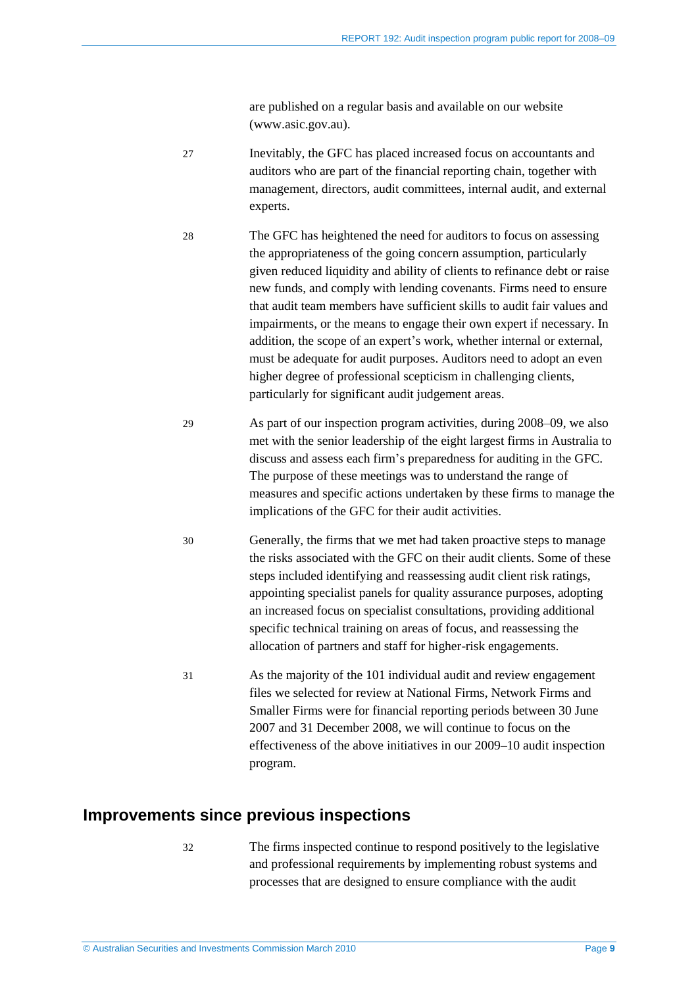are published on a regular basis and available on our website (www.asic.gov.au).

| 27 | Inevitably, the GFC has placed increased focus on accountants and<br>auditors who are part of the financial reporting chain, together with<br>management, directors, audit committees, internal audit, and external<br>experts.                                                                                                                                                                                                                                                                                                                                                                                                                                                                                            |
|----|----------------------------------------------------------------------------------------------------------------------------------------------------------------------------------------------------------------------------------------------------------------------------------------------------------------------------------------------------------------------------------------------------------------------------------------------------------------------------------------------------------------------------------------------------------------------------------------------------------------------------------------------------------------------------------------------------------------------------|
| 28 | The GFC has heightened the need for auditors to focus on assessing<br>the appropriateness of the going concern assumption, particularly<br>given reduced liquidity and ability of clients to refinance debt or raise<br>new funds, and comply with lending covenants. Firms need to ensure<br>that audit team members have sufficient skills to audit fair values and<br>impairments, or the means to engage their own expert if necessary. In<br>addition, the scope of an expert's work, whether internal or external,<br>must be adequate for audit purposes. Auditors need to adopt an even<br>higher degree of professional scepticism in challenging clients,<br>particularly for significant audit judgement areas. |
| 29 | As part of our inspection program activities, during 2008–09, we also<br>met with the senior leadership of the eight largest firms in Australia to<br>discuss and assess each firm's preparedness for auditing in the GFC.<br>The purpose of these meetings was to understand the range of<br>measures and specific actions undertaken by these firms to manage the<br>implications of the GFC for their audit activities.                                                                                                                                                                                                                                                                                                 |
| 30 | Generally, the firms that we met had taken proactive steps to manage<br>the risks associated with the GFC on their audit clients. Some of these<br>steps included identifying and reassessing audit client risk ratings,<br>appointing specialist panels for quality assurance purposes, adopting<br>an increased focus on specialist consultations, providing additional<br>specific technical training on areas of focus, and reassessing the<br>allocation of partners and staff for higher-risk engagements.                                                                                                                                                                                                           |
| 31 | As the majority of the 101 individual audit and review engagement<br>files we selected for review at National Firms, Network Firms and<br>Smaller Firms were for financial reporting periods between 30 June<br>2007 and 31 December 2008, we will continue to focus on the<br>effectiveness of the above initiatives in our 2009–10 audit inspection<br>program.                                                                                                                                                                                                                                                                                                                                                          |

## <span id="page-8-0"></span>**Improvements since previous inspections**

32 The firms inspected continue to respond positively to the legislative and professional requirements by implementing robust systems and processes that are designed to ensure compliance with the audit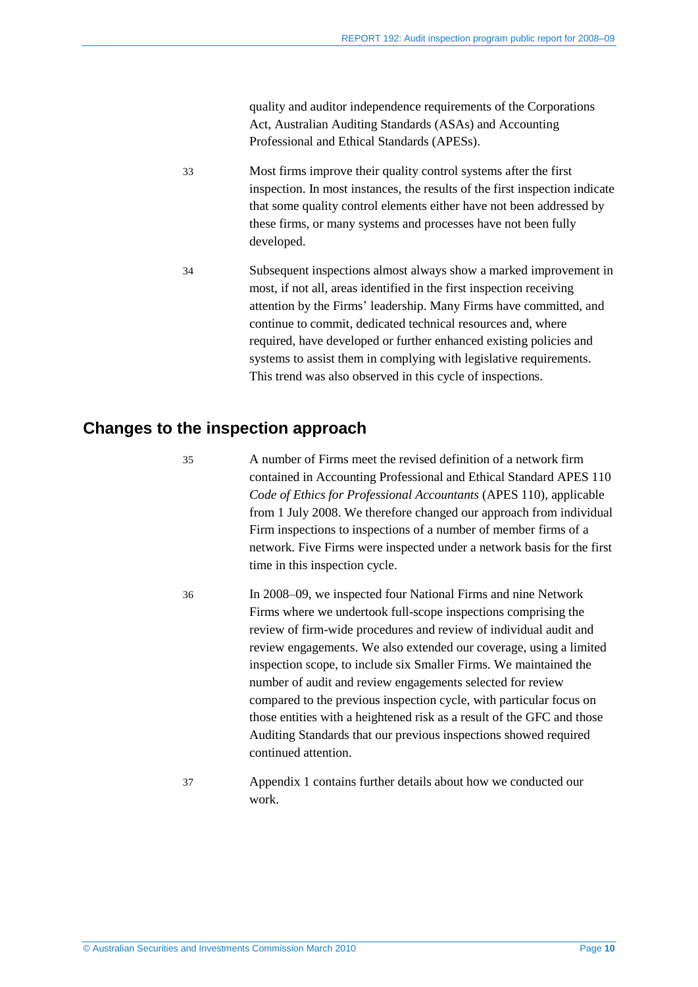quality and auditor independence requirements of the Corporations Act, Australian Auditing Standards (ASAs) and Accounting Professional and Ethical Standards (APESs).

- 33 Most firms improve their quality control systems after the first inspection. In most instances, the results of the first inspection indicate that some quality control elements either have not been addressed by these firms, or many systems and processes have not been fully developed.
- 34 Subsequent inspections almost always show a marked improvement in most, if not all, areas identified in the first inspection receiving attention by the Firms' leadership. Many Firms have committed, and continue to commit, dedicated technical resources and, where required, have developed or further enhanced existing policies and systems to assist them in complying with legislative requirements. This trend was also observed in this cycle of inspections.

### <span id="page-9-0"></span>**Changes to the inspection approach**

35 A number of Firms meet the revised definition of a network firm contained in Accounting Professional and Ethical Standard APES 110 *Code of Ethics for Professional Accountants* (APES 110), applicable from 1 July 2008. We therefore changed our approach from individual Firm inspections to inspections of a number of member firms of a network. Five Firms were inspected under a network basis for the first time in this inspection cycle.

- 36 In 2008–09, we inspected four National Firms and nine Network Firms where we undertook full-scope inspections comprising the review of firm-wide procedures and review of individual audit and review engagements. We also extended our coverage, using a limited inspection scope, to include six Smaller Firms. We maintained the number of audit and review engagements selected for review compared to the previous inspection cycle, with particular focus on those entities with a heightened risk as a result of the GFC and those Auditing Standards that our previous inspections showed required continued attention.
- 37 Appendix 1 contains further details about how we conducted our work.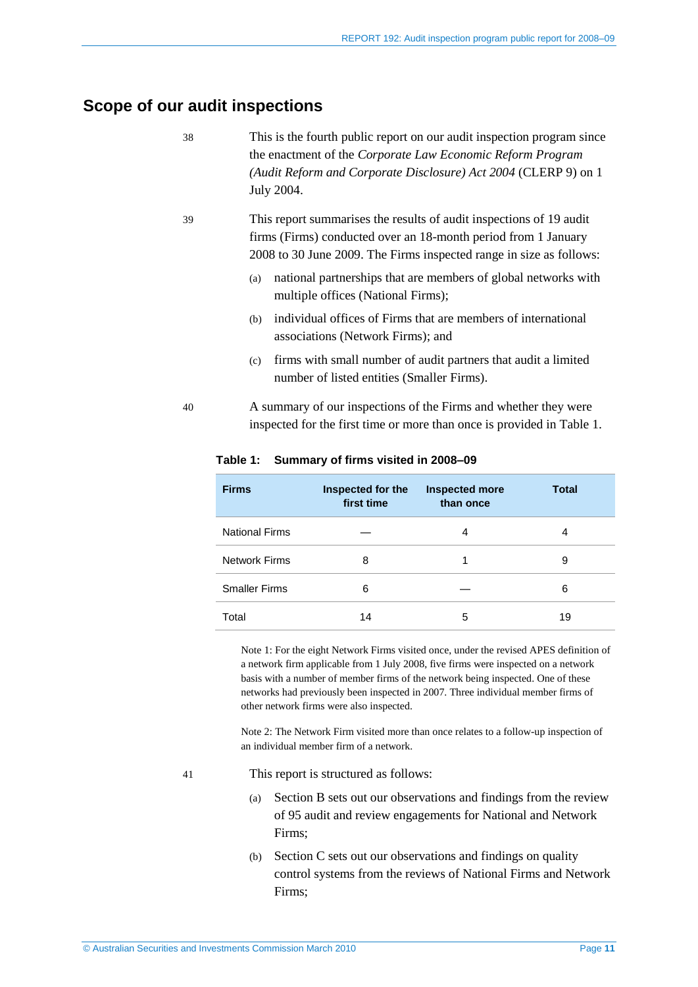## <span id="page-10-0"></span>**Scope of our audit inspections**

| 38 | This is the fourth public report on our audit inspection program since<br>the enactment of the Corporate Law Economic Reform Program<br>(Audit Reform and Corporate Disclosure) Act 2004 (CLERP 9) on 1<br>July 2004. |
|----|-----------------------------------------------------------------------------------------------------------------------------------------------------------------------------------------------------------------------|
| 39 | This report summarises the results of audit inspections of 19 audit<br>firms (Firms) conducted over an 18-month period from 1 January<br>2008 to 30 June 2009. The Firms inspected range in size as follows:          |
|    | national partnerships that are members of global networks with<br>(a)<br>multiple offices (National Firms);                                                                                                           |
|    | individual offices of Firms that are members of international<br>(b)<br>associations (Network Firms); and                                                                                                             |
|    | firms with small number of audit partners that audit a limited<br>(c)<br>number of listed entities (Smaller Firms).                                                                                                   |
|    |                                                                                                                                                                                                                       |

40 A summary of our inspections of the Firms and whether they were inspected for the first time or more than once is provided in Table 1.

| <b>Firms</b>          | Inspected for the<br>first time | <b>Inspected more</b><br>than once | <b>Total</b> |
|-----------------------|---------------------------------|------------------------------------|--------------|
| <b>National Firms</b> |                                 | 4                                  | 4            |
| <b>Network Firms</b>  | 8                               |                                    | 9            |
| <b>Smaller Firms</b>  | 6                               |                                    | 6            |
| Total                 | 14                              | 5                                  | 19           |

#### **Table 1: Summary of firms visited in 2008–09**

Note 1: For the eight Network Firms visited once, under the revised APES definition of a network firm applicable from 1 July 2008, five firms were inspected on a network basis with a number of member firms of the network being inspected. One of these networks had previously been inspected in 2007. Three individual member firms of other network firms were also inspected.

Note 2: The Network Firm visited more than once relates to a follow-up inspection of an individual member firm of a network.

- 41 This report is structured as follows:
	- (a) Section B sets out our observations and findings from the review of 95 audit and review engagements for National and Network Firms;
	- (b) Section C sets out our observations and findings on quality control systems from the reviews of National Firms and Network Firms;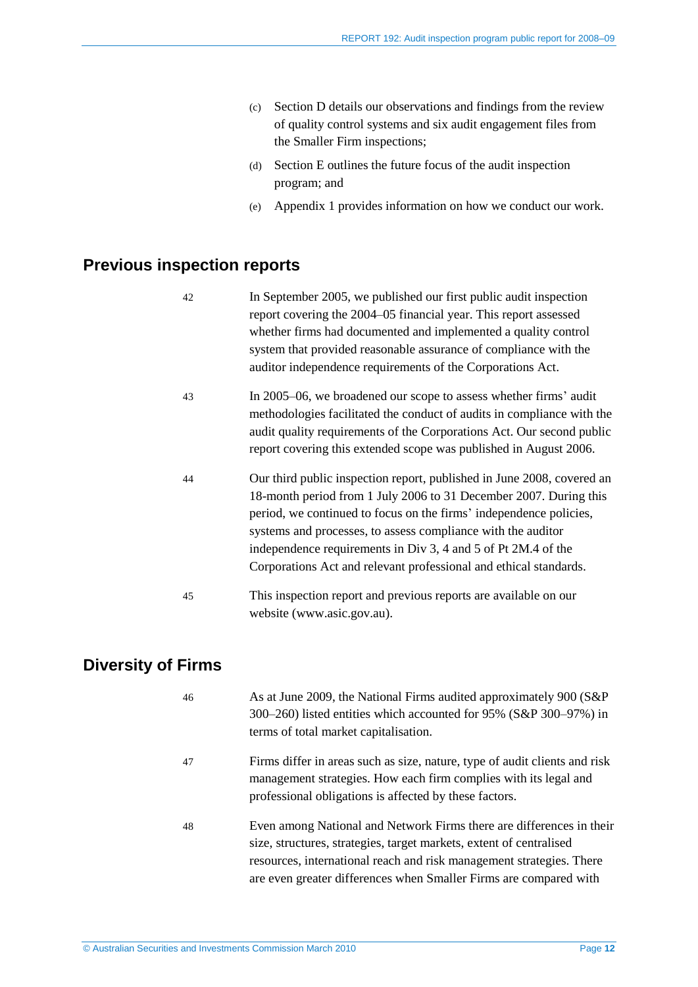- (c) Section D details our observations and findings from the review of quality control systems and six audit engagement files from the Smaller Firm inspections;
- (d) Section E outlines the future focus of the audit inspection program; and
- (e) Appendix 1 provides information on how we conduct our work.

## <span id="page-11-0"></span>**Previous inspection reports**

| 42 | In September 2005, we published our first public audit inspection<br>report covering the 2004–05 financial year. This report assessed<br>whether firms had documented and implemented a quality control<br>system that provided reasonable assurance of compliance with the<br>auditor independence requirements of the Corporations Act.                                                                               |
|----|-------------------------------------------------------------------------------------------------------------------------------------------------------------------------------------------------------------------------------------------------------------------------------------------------------------------------------------------------------------------------------------------------------------------------|
| 43 | In 2005–06, we broadened our scope to assess whether firms' audit<br>methodologies facilitated the conduct of audits in compliance with the<br>audit quality requirements of the Corporations Act. Our second public<br>report covering this extended scope was published in August 2006.                                                                                                                               |
| 44 | Our third public inspection report, published in June 2008, covered an<br>18-month period from 1 July 2006 to 31 December 2007. During this<br>period, we continued to focus on the firms' independence policies,<br>systems and processes, to assess compliance with the auditor<br>independence requirements in Div 3, 4 and 5 of Pt 2M.4 of the<br>Corporations Act and relevant professional and ethical standards. |
| 45 | This inspection report and previous reports are available on our<br>website (www.asic.gov.au).                                                                                                                                                                                                                                                                                                                          |

## <span id="page-11-1"></span>**Diversity of Firms**

| 46 | As at June 2009, the National Firms audited approximately 900 (S&P)<br>300–260) listed entities which accounted for 95% (S&P 300–97%) in<br>terms of total market capitalisation.                                                                                                        |
|----|------------------------------------------------------------------------------------------------------------------------------------------------------------------------------------------------------------------------------------------------------------------------------------------|
| 47 | Firms differ in areas such as size, nature, type of audit clients and risk<br>management strategies. How each firm complies with its legal and<br>professional obligations is affected by these factors.                                                                                 |
| 48 | Even among National and Network Firms there are differences in their<br>size, structures, strategies, target markets, extent of centralised<br>resources, international reach and risk management strategies. There<br>are even greater differences when Smaller Firms are compared with |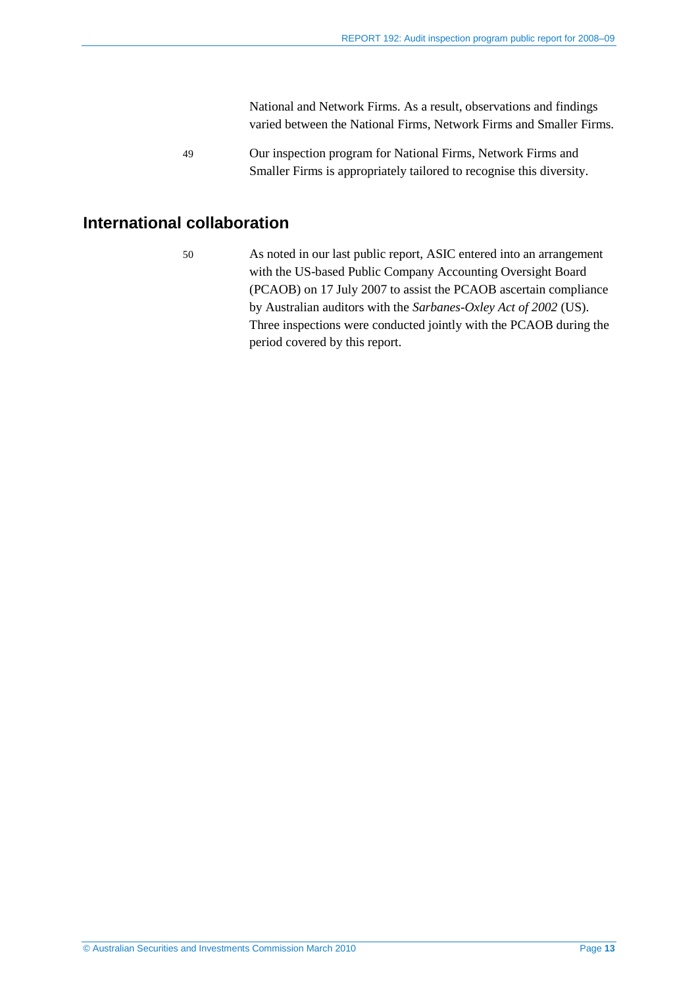National and Network Firms. As a result, observations and findings varied between the National Firms, Network Firms and Smaller Firms.

49 Our inspection program for National Firms, Network Firms and Smaller Firms is appropriately tailored to recognise this diversity.

### <span id="page-12-0"></span>**International collaboration**

50 As noted in our last public report, ASIC entered into an arrangement with the US-based Public Company Accounting Oversight Board (PCAOB) on 17 July 2007 to assist the PCAOB ascertain compliance by Australian auditors with the *Sarbanes-Oxley Act of 2002* (US). Three inspections were conducted jointly with the PCAOB during the period covered by this report.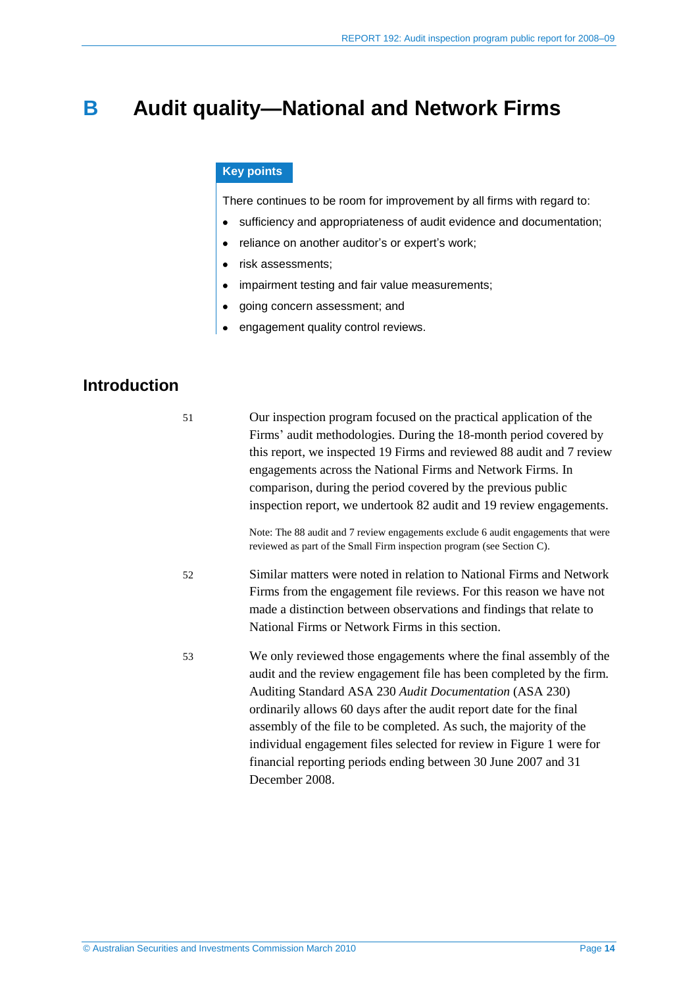## <span id="page-13-0"></span>**B Audit quality—National and Network Firms**

#### **Key points**

There continues to be room for improvement by all firms with regard to:

- sufficiency and appropriateness of audit evidence and documentation;
- reliance on another auditor's or expert's work;
- risk assessments;  $\bullet$
- impairment testing and fair value measurements;
- going concern assessment; and  $\bullet$
- engagement quality control reviews.

## <span id="page-13-1"></span>**Introduction**

51 Our inspection program focused on the practical application of the Firms' audit methodologies. During the 18-month period covered by this report, we inspected 19 Firms and reviewed 88 audit and 7 review engagements across the National Firms and Network Firms. In comparison, during the period covered by the previous public inspection report, we undertook 82 audit and 19 review engagements.

Note: The 88 audit and 7 review engagements exclude 6 audit engagements that were reviewed as part of the Small Firm inspection program (see Section C).

- 52 Similar matters were noted in relation to National Firms and Network Firms from the engagement file reviews. For this reason we have not made a distinction between observations and findings that relate to National Firms or Network Firms in this section.
- 53 We only reviewed those engagements where the final assembly of the audit and the review engagement file has been completed by the firm. Auditing Standard ASA 230 *Audit Documentation* (ASA 230) ordinarily allows 60 days after the audit report date for the final assembly of the file to be completed. As such, the majority of the individual engagement files selected for review in Figure 1 were for financial reporting periods ending between 30 June 2007 and 31 December 2008.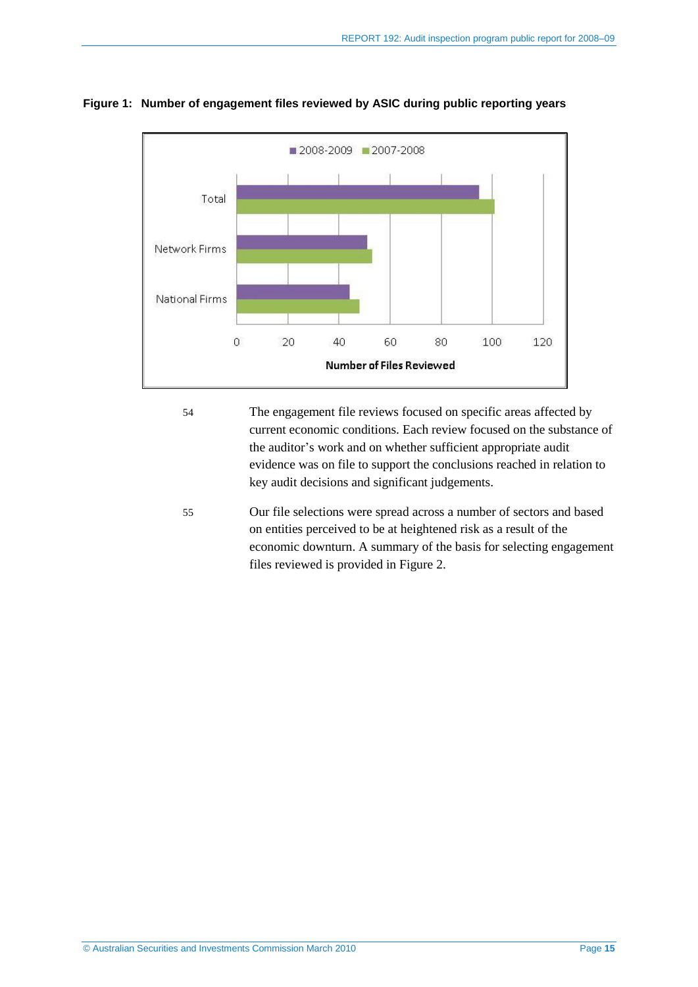

**Figure 1: Number of engagement files reviewed by ASIC during public reporting years**

- 54 The engagement file reviews focused on specific areas affected by current economic conditions. Each review focused on the substance of the auditor's work and on whether sufficient appropriate audit evidence was on file to support the conclusions reached in relation to key audit decisions and significant judgements.
- 55 Our file selections were spread across a number of sectors and based on entities perceived to be at heightened risk as a result of the economic downturn. A summary of the basis for selecting engagement files reviewed is provided in Figure 2.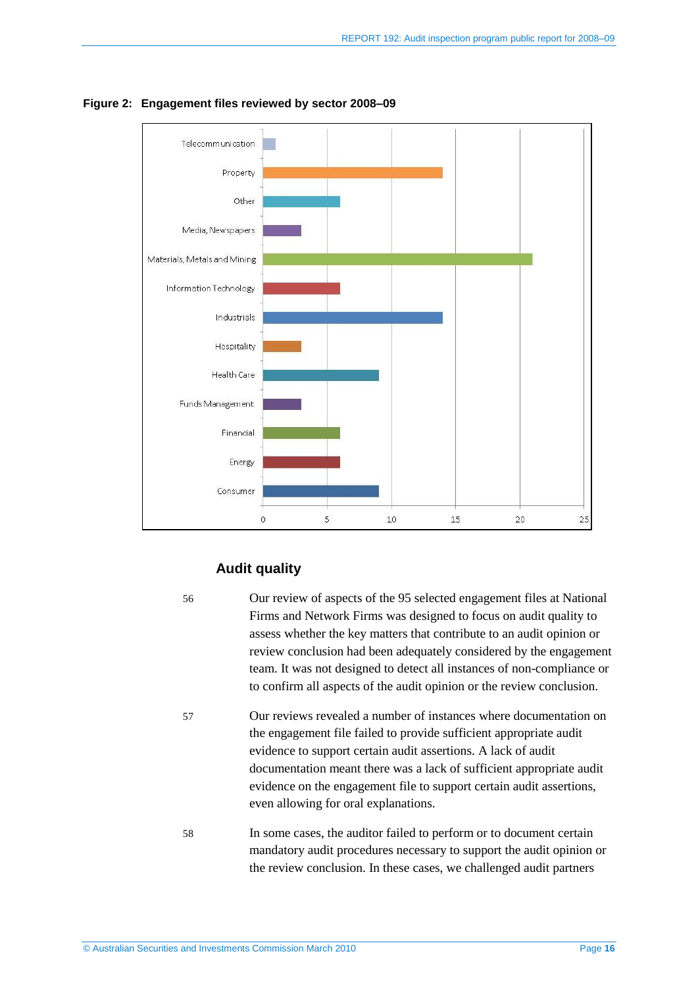

**Figure 2: Engagement files reviewed by sector 2008–09**

## **Audit quality**

56 Our review of aspects of the 95 selected engagement files at National Firms and Network Firms was designed to focus on audit quality to assess whether the key matters that contribute to an audit opinion or review conclusion had been adequately considered by the engagement team. It was not designed to detect all instances of non-compliance or to confirm all aspects of the audit opinion or the review conclusion.

57 Our reviews revealed a number of instances where documentation on the engagement file failed to provide sufficient appropriate audit evidence to support certain audit assertions. A lack of audit documentation meant there was a lack of sufficient appropriate audit evidence on the engagement file to support certain audit assertions, even allowing for oral explanations.

58 In some cases, the auditor failed to perform or to document certain mandatory audit procedures necessary to support the audit opinion or the review conclusion. In these cases, we challenged audit partners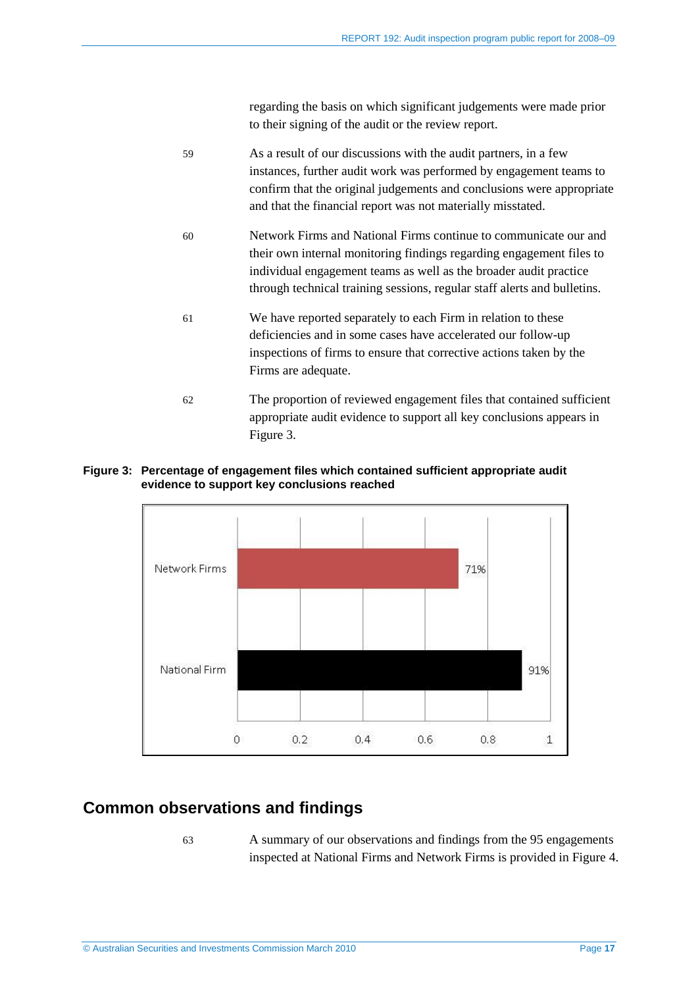regarding the basis on which significant judgements were made prior to their signing of the audit or the review report.

| 59 | As a result of our discussions with the audit partners, in a few         |
|----|--------------------------------------------------------------------------|
|    | instances, further audit work was performed by engagement teams to       |
|    | confirm that the original judgements and conclusions were appropriate    |
|    | and that the financial report was not materially misstated.              |
| 60 | Network Firms and National Firms continue to communicate our and         |
|    | their own internal monitoring findings regarding engagement files to     |
|    | individual engagement teams as well as the broader audit practice        |
|    | through technical training sessions, regular staff alerts and bulletins. |
| 61 | We have reported separately to each Firm in relation to these            |
|    | deficiencies and in some cases have accelerated our follow-up            |
|    | inspections of firms to ensure that corrective actions taken by the      |
|    | Firms are adequate.                                                      |
| 62 | The proportion of reviewed engagement files that contained sufficient    |
|    | appropriate audit evidence to support all key conclusions appears in     |

#### **Figure 3: Percentage of engagement files which contained sufficient appropriate audit evidence to support key conclusions reached**

Figure 3.



## <span id="page-16-0"></span>**Common observations and findings**

63 A summary of our observations and findings from the 95 engagements inspected at National Firms and Network Firms is provided in Figure 4.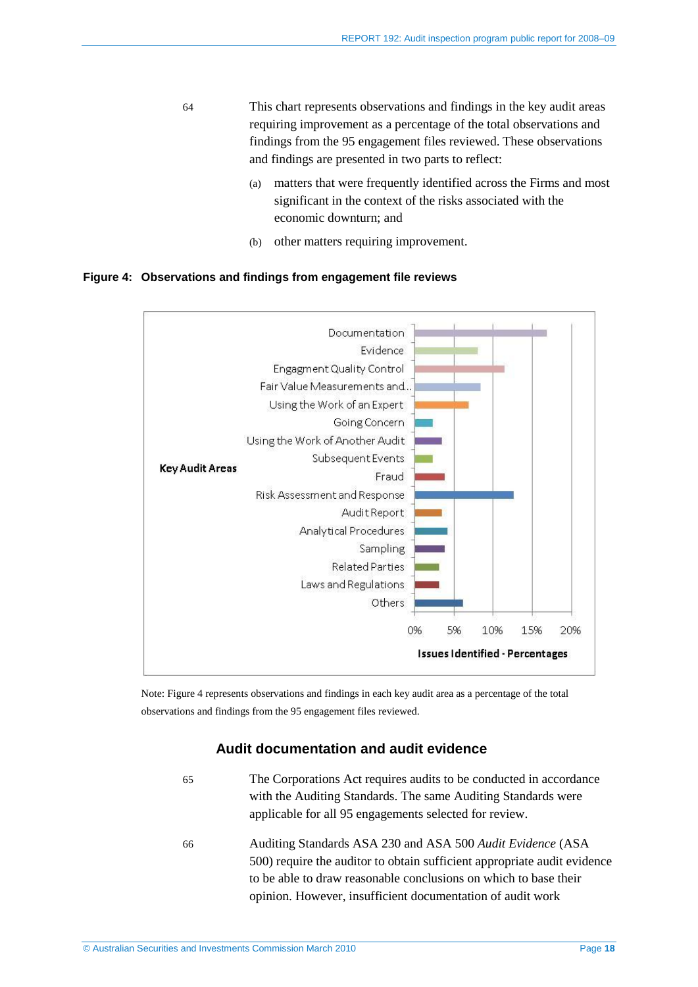- 64 This chart represents observations and findings in the key audit areas requiring improvement as a percentage of the total observations and findings from the 95 engagement files reviewed. These observations and findings are presented in two parts to reflect:
	- (a) matters that were frequently identified across the Firms and most significant in the context of the risks associated with the economic downturn; and
	- (b) other matters requiring improvement.

#### **Figure 4: Observations and findings from engagement file reviews**



Note: Figure 4 represents observations and findings in each key audit area as a percentage of the total observations and findings from the 95 engagement files reviewed.

#### **Audit documentation and audit evidence**

- 65 The Corporations Act requires audits to be conducted in accordance with the Auditing Standards. The same Auditing Standards were applicable for all 95 engagements selected for review. 66 Auditing Standards ASA 230 and ASA 500 *Audit Evidence* (ASA
	- 500) require the auditor to obtain sufficient appropriate audit evidence to be able to draw reasonable conclusions on which to base their opinion. However, insufficient documentation of audit work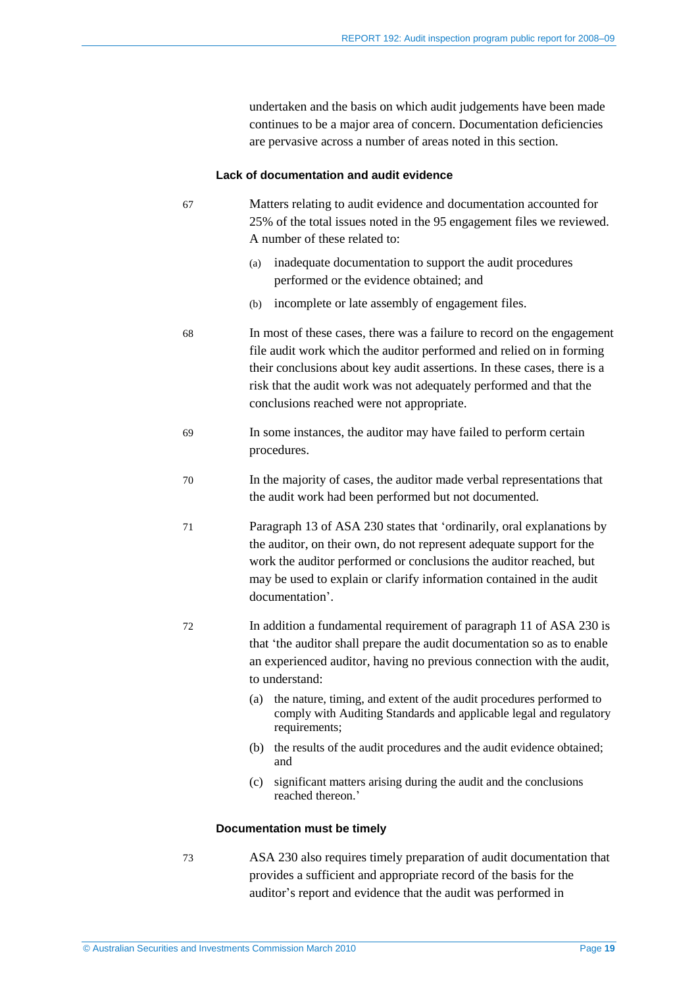undertaken and the basis on which audit judgements have been made continues to be a major area of concern. Documentation deficiencies are pervasive across a number of areas noted in this section.

#### **Lack of documentation and audit evidence**

| 67                                  | Matters relating to audit evidence and documentation accounted for<br>25% of the total issues noted in the 95 engagement files we reviewed.<br>A number of these related to:                                                                                                                                                                   |  |
|-------------------------------------|------------------------------------------------------------------------------------------------------------------------------------------------------------------------------------------------------------------------------------------------------------------------------------------------------------------------------------------------|--|
|                                     | inadequate documentation to support the audit procedures<br>(a)<br>performed or the evidence obtained; and                                                                                                                                                                                                                                     |  |
|                                     | incomplete or late assembly of engagement files.<br>(b)                                                                                                                                                                                                                                                                                        |  |
| 68                                  | In most of these cases, there was a failure to record on the engagement<br>file audit work which the auditor performed and relied on in forming<br>their conclusions about key audit assertions. In these cases, there is a<br>risk that the audit work was not adequately performed and that the<br>conclusions reached were not appropriate. |  |
| 69                                  | In some instances, the auditor may have failed to perform certain<br>procedures.                                                                                                                                                                                                                                                               |  |
| 70                                  | In the majority of cases, the auditor made verbal representations that<br>the audit work had been performed but not documented.                                                                                                                                                                                                                |  |
| 71                                  | Paragraph 13 of ASA 230 states that 'ordinarily, oral explanations by<br>the auditor, on their own, do not represent adequate support for the<br>work the auditor performed or conclusions the auditor reached, but<br>may be used to explain or clarify information contained in the audit<br>documentation'.                                 |  |
| 72                                  | In addition a fundamental requirement of paragraph 11 of ASA 230 is<br>that 'the auditor shall prepare the audit documentation so as to enable<br>an experienced auditor, having no previous connection with the audit,<br>to understand:                                                                                                      |  |
|                                     | the nature, timing, and extent of the audit procedures performed to<br>(a)<br>comply with Auditing Standards and applicable legal and regulatory<br>requirements;                                                                                                                                                                              |  |
|                                     | the results of the audit procedures and the audit evidence obtained;<br>(b)<br>and                                                                                                                                                                                                                                                             |  |
|                                     | significant matters arising during the audit and the conclusions<br>(c)<br>reached thereon.'                                                                                                                                                                                                                                                   |  |
| <b>Documentation must be timely</b> |                                                                                                                                                                                                                                                                                                                                                |  |
|                                     |                                                                                                                                                                                                                                                                                                                                                |  |

73 ASA 230 also requires timely preparation of audit documentation that provides a sufficient and appropriate record of the basis for the auditor's report and evidence that the audit was performed in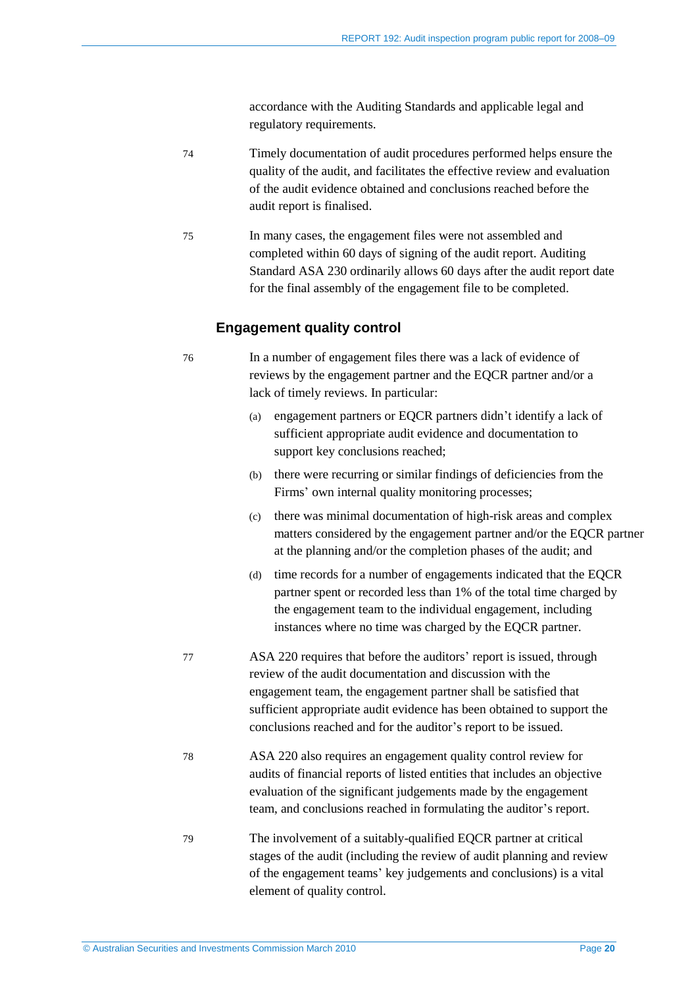accordance with the Auditing Standards and applicable legal and regulatory requirements.

- 74 Timely documentation of audit procedures performed helps ensure the quality of the audit, and facilitates the effective review and evaluation of the audit evidence obtained and conclusions reached before the audit report is finalised.
- 75 In many cases, the engagement files were not assembled and completed within 60 days of signing of the audit report. Auditing Standard ASA 230 ordinarily allows 60 days after the audit report date for the final assembly of the engagement file to be completed.

#### **Engagement quality control**

76 In a number of engagement files there was a lack of evidence of reviews by the engagement partner and the EQCR partner and/or a lack of timely reviews. In particular:

- (a) engagement partners or EQCR partners didn't identify a lack of sufficient appropriate audit evidence and documentation to support key conclusions reached;
- (b) there were recurring or similar findings of deficiencies from the Firms' own internal quality monitoring processes;
- (c) there was minimal documentation of high-risk areas and complex matters considered by the engagement partner and/or the EQCR partner at the planning and/or the completion phases of the audit; and
- (d) time records for a number of engagements indicated that the EQCR partner spent or recorded less than 1% of the total time charged by the engagement team to the individual engagement, including instances where no time was charged by the EQCR partner.
- 77 ASA 220 requires that before the auditors' report is issued, through review of the audit documentation and discussion with the engagement team, the engagement partner shall be satisfied that sufficient appropriate audit evidence has been obtained to support the conclusions reached and for the auditor's report to be issued.
- 78 ASA 220 also requires an engagement quality control review for audits of financial reports of listed entities that includes an objective evaluation of the significant judgements made by the engagement team, and conclusions reached in formulating the auditor's report.
- 79 The involvement of a suitably-qualified EQCR partner at critical stages of the audit (including the review of audit planning and review of the engagement teams' key judgements and conclusions) is a vital element of quality control.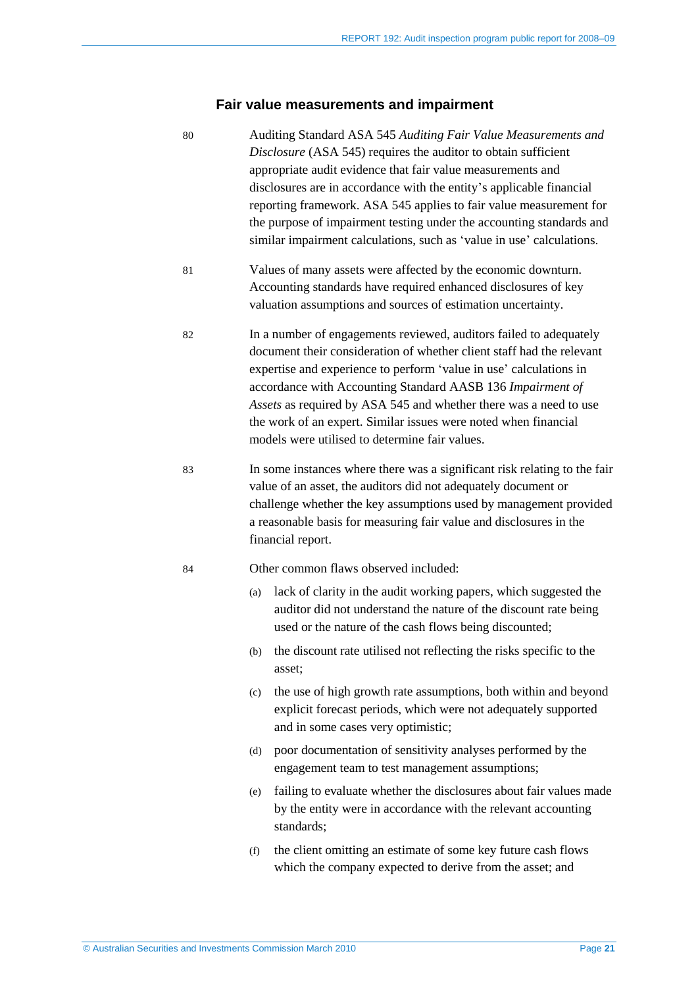## **Fair value measurements and impairment**

| 80 | Auditing Standard ASA 545 Auditing Fair Value Measurements and<br>Disclosure (ASA 545) requires the auditor to obtain sufficient<br>appropriate audit evidence that fair value measurements and<br>disclosures are in accordance with the entity's applicable financial<br>reporting framework. ASA 545 applies to fair value measurement for<br>the purpose of impairment testing under the accounting standards and<br>similar impairment calculations, such as 'value in use' calculations. |
|----|------------------------------------------------------------------------------------------------------------------------------------------------------------------------------------------------------------------------------------------------------------------------------------------------------------------------------------------------------------------------------------------------------------------------------------------------------------------------------------------------|
| 81 | Values of many assets were affected by the economic downturn.<br>Accounting standards have required enhanced disclosures of key<br>valuation assumptions and sources of estimation uncertainty.                                                                                                                                                                                                                                                                                                |
| 82 | In a number of engagements reviewed, auditors failed to adequately<br>document their consideration of whether client staff had the relevant<br>expertise and experience to perform 'value in use' calculations in<br>accordance with Accounting Standard AASB 136 Impairment of<br>Assets as required by ASA 545 and whether there was a need to use<br>the work of an expert. Similar issues were noted when financial<br>models were utilised to determine fair values.                      |
| 83 | In some instances where there was a significant risk relating to the fair<br>value of an asset, the auditors did not adequately document or<br>challenge whether the key assumptions used by management provided<br>a reasonable basis for measuring fair value and disclosures in the<br>financial report.                                                                                                                                                                                    |
| 84 | Other common flaws observed included:                                                                                                                                                                                                                                                                                                                                                                                                                                                          |
|    | lack of clarity in the audit working papers, which suggested the<br>(a)<br>auditor did not understand the nature of the discount rate being<br>used or the nature of the cash flows being discounted;                                                                                                                                                                                                                                                                                          |
|    | (b) the discount rate utilised not reflecting the risks specific to the<br>asset;                                                                                                                                                                                                                                                                                                                                                                                                              |
|    | the use of high growth rate assumptions, both within and beyond<br>(c)<br>explicit forecast periods, which were not adequately supported<br>and in some cases very optimistic;                                                                                                                                                                                                                                                                                                                 |
|    | poor documentation of sensitivity analyses performed by the<br>(d)<br>engagement team to test management assumptions;                                                                                                                                                                                                                                                                                                                                                                          |
|    | failing to evaluate whether the disclosures about fair values made<br>(e)<br>by the entity were in accordance with the relevant accounting<br>standards;                                                                                                                                                                                                                                                                                                                                       |
|    | the client omitting an estimate of some key future cash flows<br>(f)<br>which the company expected to derive from the asset; and                                                                                                                                                                                                                                                                                                                                                               |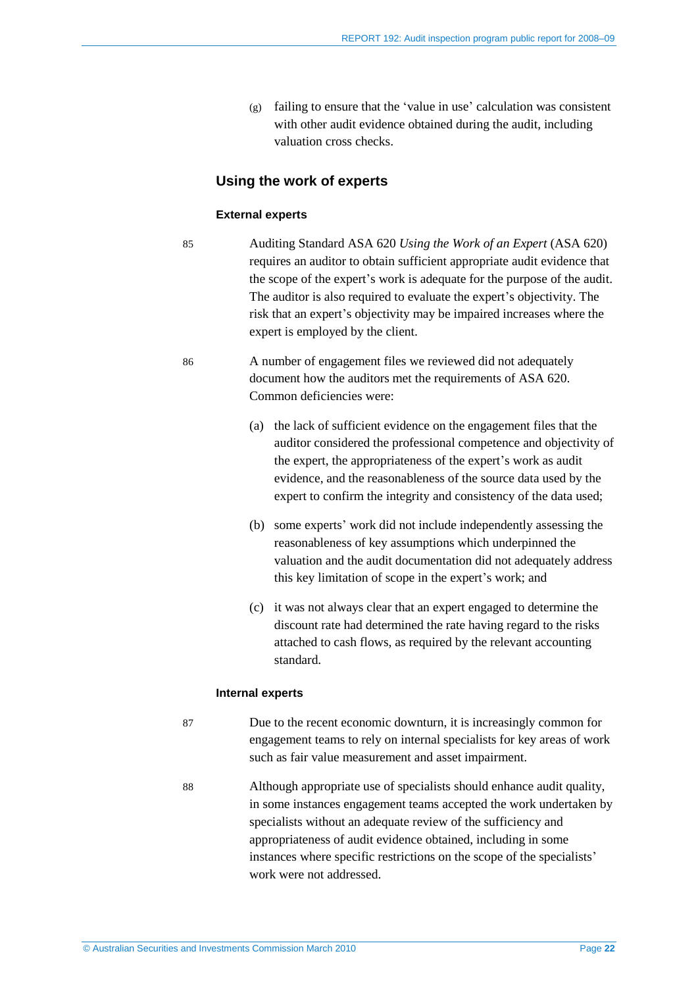(g) failing to ensure that the 'value in use' calculation was consistent with other audit evidence obtained during the audit, including valuation cross checks.

#### **Using the work of experts**

#### **External experts**

- 85 Auditing Standard ASA 620 *Using the Work of an Expert* (ASA 620) requires an auditor to obtain sufficient appropriate audit evidence that the scope of the expert's work is adequate for the purpose of the audit. The auditor is also required to evaluate the expert's objectivity. The risk that an expert's objectivity may be impaired increases where the expert is employed by the client.
- 86 A number of engagement files we reviewed did not adequately document how the auditors met the requirements of ASA 620. Common deficiencies were:
	- (a) the lack of sufficient evidence on the engagement files that the auditor considered the professional competence and objectivity of the expert, the appropriateness of the expert's work as audit evidence, and the reasonableness of the source data used by the expert to confirm the integrity and consistency of the data used;
	- (b) some experts' work did not include independently assessing the reasonableness of key assumptions which underpinned the valuation and the audit documentation did not adequately address this key limitation of scope in the expert's work; and
	- (c) it was not always clear that an expert engaged to determine the discount rate had determined the rate having regard to the risks attached to cash flows, as required by the relevant accounting standard.

#### **Internal experts**

- 87 Due to the recent economic downturn, it is increasingly common for engagement teams to rely on internal specialists for key areas of work such as fair value measurement and asset impairment.
- 88 Although appropriate use of specialists should enhance audit quality, in some instances engagement teams accepted the work undertaken by specialists without an adequate review of the sufficiency and appropriateness of audit evidence obtained, including in some instances where specific restrictions on the scope of the specialists' work were not addressed.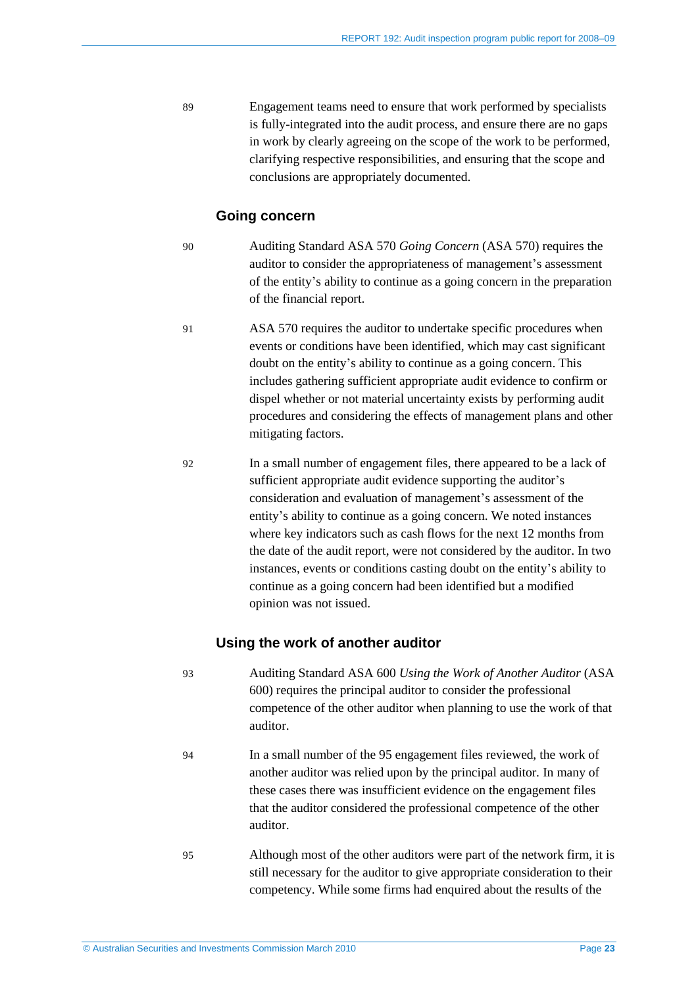89 Engagement teams need to ensure that work performed by specialists is fully-integrated into the audit process, and ensure there are no gaps in work by clearly agreeing on the scope of the work to be performed, clarifying respective responsibilities, and ensuring that the scope and conclusions are appropriately documented.

#### **Going concern**

- 90 Auditing Standard ASA 570 *Going Concern* (ASA 570) requires the auditor to consider the appropriateness of management's assessment of the entity's ability to continue as a going concern in the preparation of the financial report.
- 91 ASA 570 requires the auditor to undertake specific procedures when events or conditions have been identified, which may cast significant doubt on the entity's ability to continue as a going concern. This includes gathering sufficient appropriate audit evidence to confirm or dispel whether or not material uncertainty exists by performing audit procedures and considering the effects of management plans and other mitigating factors.
	-
- 92 In a small number of engagement files, there appeared to be a lack of sufficient appropriate audit evidence supporting the auditor's consideration and evaluation of management's assessment of the entity's ability to continue as a going concern. We noted instances where key indicators such as cash flows for the next 12 months from the date of the audit report, were not considered by the auditor. In two instances, events or conditions casting doubt on the entity's ability to continue as a going concern had been identified but a modified opinion was not issued.

#### **Using the work of another auditor**

- 93 Auditing Standard ASA 600 *Using the Work of Another Auditor* (ASA 600) requires the principal auditor to consider the professional competence of the other auditor when planning to use the work of that auditor.
- 94 In a small number of the 95 engagement files reviewed, the work of another auditor was relied upon by the principal auditor. In many of these cases there was insufficient evidence on the engagement files that the auditor considered the professional competence of the other auditor.
- 95 Although most of the other auditors were part of the network firm, it is still necessary for the auditor to give appropriate consideration to their competency. While some firms had enquired about the results of the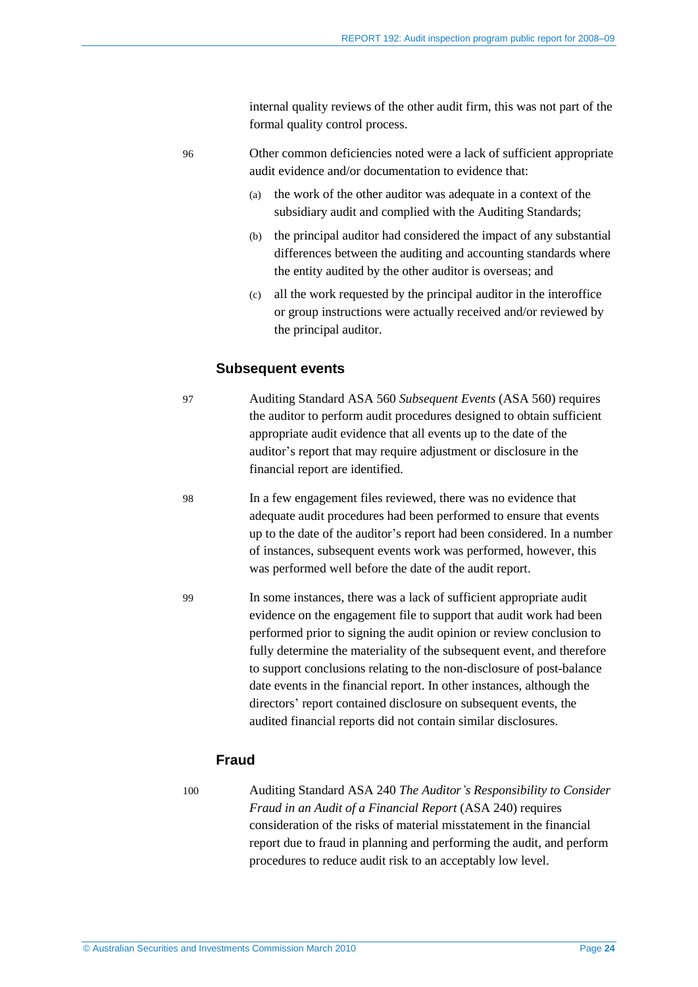internal quality reviews of the other audit firm, this was not part of the formal quality control process.

- 96 Other common deficiencies noted were a lack of sufficient appropriate audit evidence and/or documentation to evidence that:
	- (a) the work of the other auditor was adequate in a context of the subsidiary audit and complied with the Auditing Standards;
	- (b) the principal auditor had considered the impact of any substantial differences between the auditing and accounting standards where the entity audited by the other auditor is overseas; and
	- (c) all the work requested by the principal auditor in the interoffice or group instructions were actually received and/or reviewed by the principal auditor.

#### **Subsequent events**

- 97 Auditing Standard ASA 560 *Subsequent Events* (ASA 560) requires the auditor to perform audit procedures designed to obtain sufficient appropriate audit evidence that all events up to the date of the auditor's report that may require adjustment or disclosure in the financial report are identified.
- 98 In a few engagement files reviewed, there was no evidence that adequate audit procedures had been performed to ensure that events up to the date of the auditor's report had been considered. In a number of instances, subsequent events work was performed, however, this was performed well before the date of the audit report.
- 99 In some instances, there was a lack of sufficient appropriate audit evidence on the engagement file to support that audit work had been performed prior to signing the audit opinion or review conclusion to fully determine the materiality of the subsequent event, and therefore to support conclusions relating to the non-disclosure of post-balance date events in the financial report. In other instances, although the directors' report contained disclosure on subsequent events, the audited financial reports did not contain similar disclosures.

#### **Fraud**

100 Auditing Standard ASA 240 *The Auditor's Responsibility to Consider Fraud in an Audit of a Financial Report* (ASA 240) requires consideration of the risks of material misstatement in the financial report due to fraud in planning and performing the audit, and perform procedures to reduce audit risk to an acceptably low level.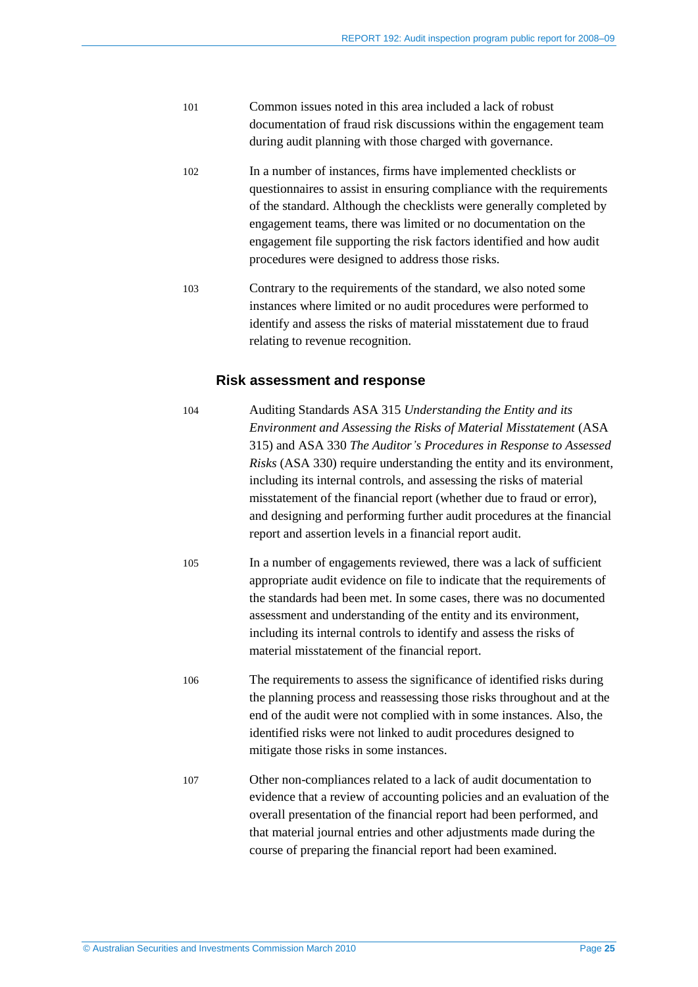- 101 Common issues noted in this area included a lack of robust documentation of fraud risk discussions within the engagement team during audit planning with those charged with governance.
- 102 In a number of instances, firms have implemented checklists or questionnaires to assist in ensuring compliance with the requirements of the standard. Although the checklists were generally completed by engagement teams, there was limited or no documentation on the engagement file supporting the risk factors identified and how audit procedures were designed to address those risks.
- 103 Contrary to the requirements of the standard, we also noted some instances where limited or no audit procedures were performed to identify and assess the risks of material misstatement due to fraud relating to revenue recognition.

#### **Risk assessment and response**

- 104 Auditing Standards ASA 315 *Understanding the Entity and its Environment and Assessing the Risks of Material Misstatement* (ASA 315) and ASA 330 *The Auditor's Procedures in Response to Assessed Risks* (ASA 330) require understanding the entity and its environment, including its internal controls, and assessing the risks of material misstatement of the financial report (whether due to fraud or error), and designing and performing further audit procedures at the financial report and assertion levels in a financial report audit. 105 In a number of engagements reviewed, there was a lack of sufficient appropriate audit evidence on file to indicate that the requirements of the standards had been met. In some cases, there was no documented assessment and understanding of the entity and its environment, including its internal controls to identify and assess the risks of material misstatement of the financial report. 106 The requirements to assess the significance of identified risks during
- the planning process and reassessing those risks throughout and at the end of the audit were not complied with in some instances. Also, the identified risks were not linked to audit procedures designed to mitigate those risks in some instances.
- 107 Other non-compliances related to a lack of audit documentation to evidence that a review of accounting policies and an evaluation of the overall presentation of the financial report had been performed, and that material journal entries and other adjustments made during the course of preparing the financial report had been examined.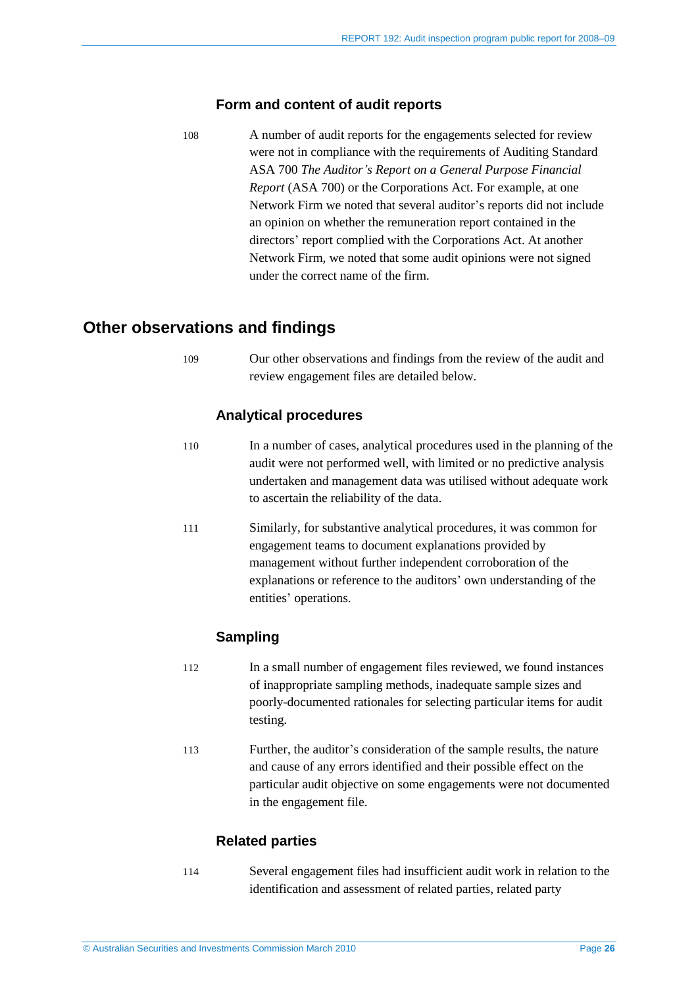#### **Form and content of audit reports**

108 A number of audit reports for the engagements selected for review were not in compliance with the requirements of Auditing Standard ASA 700 *The Auditor's Report on a General Purpose Financial Report* (ASA 700) or the Corporations Act. For example, at one Network Firm we noted that several auditor's reports did not include an opinion on whether the remuneration report contained in the directors' report complied with the Corporations Act. At another Network Firm, we noted that some audit opinions were not signed under the correct name of the firm.

## <span id="page-25-0"></span>**Other observations and findings**

109 Our other observations and findings from the review of the audit and review engagement files are detailed below.

#### **Analytical procedures**

- 110 In a number of cases, analytical procedures used in the planning of the audit were not performed well, with limited or no predictive analysis undertaken and management data was utilised without adequate work to ascertain the reliability of the data.
- 111 Similarly, for substantive analytical procedures, it was common for engagement teams to document explanations provided by management without further independent corroboration of the explanations or reference to the auditors' own understanding of the entities' operations.

#### **Sampling**

- 112 In a small number of engagement files reviewed, we found instances of inappropriate sampling methods, inadequate sample sizes and poorly-documented rationales for selecting particular items for audit testing.
- 113 Further, the auditor's consideration of the sample results, the nature and cause of any errors identified and their possible effect on the particular audit objective on some engagements were not documented in the engagement file.

#### **Related parties**

114 Several engagement files had insufficient audit work in relation to the identification and assessment of related parties, related party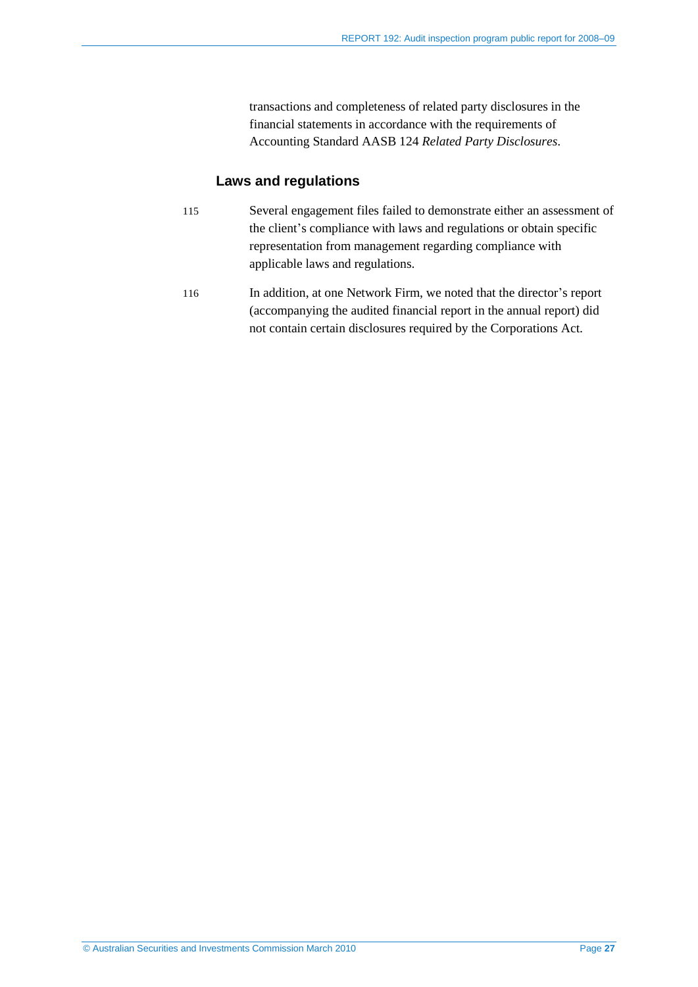transactions and completeness of related party disclosures in the financial statements in accordance with the requirements of Accounting Standard AASB 124 *Related Party Disclosures*.

#### **Laws and regulations**

- 115 Several engagement files failed to demonstrate either an assessment of the client's compliance with laws and regulations or obtain specific representation from management regarding compliance with applicable laws and regulations.
- 116 In addition, at one Network Firm, we noted that the director's report (accompanying the audited financial report in the annual report) did not contain certain disclosures required by the Corporations Act.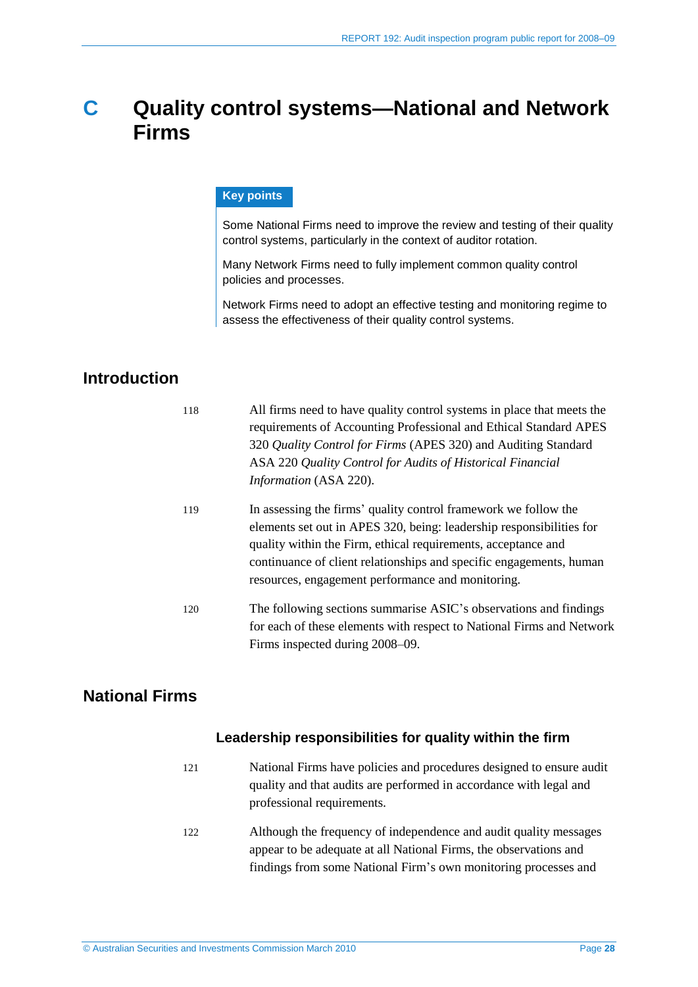## <span id="page-27-0"></span>**C Quality control systems—National and Network Firms**

#### **Key points**

Some National Firms need to improve the review and testing of their quality control systems, particularly in the context of auditor rotation.

Many Network Firms need to fully implement common quality control policies and processes.

Network Firms need to adopt an effective testing and monitoring regime to assess the effectiveness of their quality control systems.

## <span id="page-27-1"></span>**Introduction**

| 118 | All firms need to have quality control systems in place that meets the<br>requirements of Accounting Professional and Ethical Standard APES<br>320 Quality Control for Firms (APES 320) and Auditing Standard<br>ASA 220 Quality Control for Audits of Historical Financial<br>Information (ASA 220).                                |
|-----|--------------------------------------------------------------------------------------------------------------------------------------------------------------------------------------------------------------------------------------------------------------------------------------------------------------------------------------|
| 119 | In assessing the firms' quality control framework we follow the<br>elements set out in APES 320, being: leadership responsibilities for<br>quality within the Firm, ethical requirements, acceptance and<br>continuance of client relationships and specific engagements, human<br>resources, engagement performance and monitoring. |
| 120 | The following sections summarise ASIC's observations and findings<br>for each of these elements with respect to National Firms and Network<br>Firms inspected during 2008–09.                                                                                                                                                        |

## <span id="page-27-2"></span>**National Firms**

#### **Leadership responsibilities for quality within the firm**

- 121 National Firms have policies and procedures designed to ensure audit quality and that audits are performed in accordance with legal and professional requirements.
- 122 Although the frequency of independence and audit quality messages appear to be adequate at all National Firms, the observations and findings from some National Firm's own monitoring processes and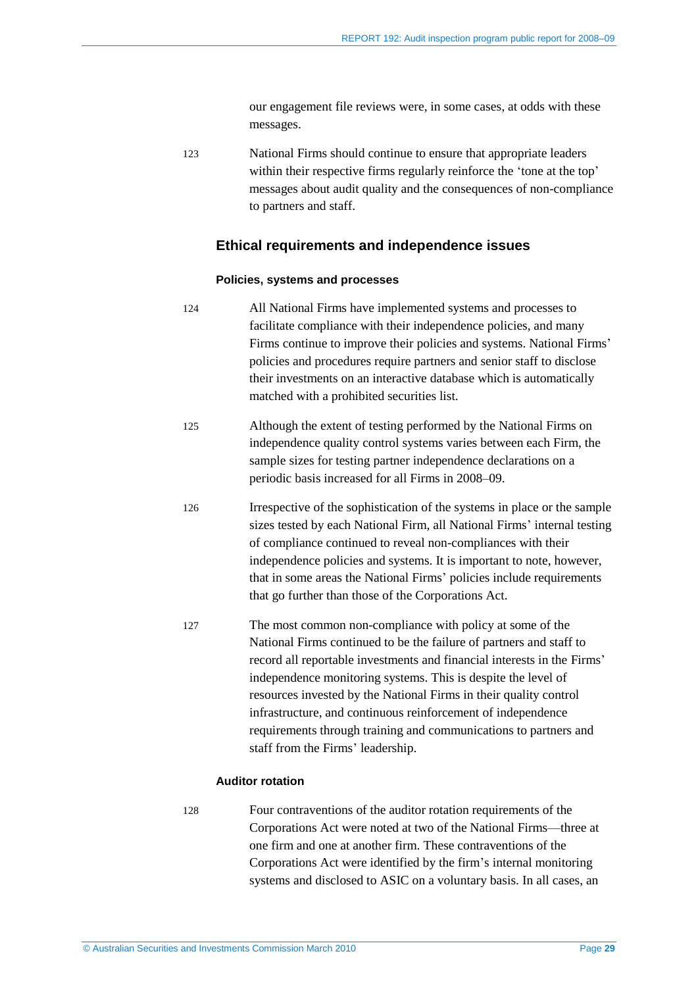our engagement file reviews were, in some cases, at odds with these messages.

123 National Firms should continue to ensure that appropriate leaders within their respective firms regularly reinforce the 'tone at the top' messages about audit quality and the consequences of non-compliance to partners and staff.

#### **Ethical requirements and independence issues**

#### **Policies, systems and processes**

- 124 All National Firms have implemented systems and processes to facilitate compliance with their independence policies, and many Firms continue to improve their policies and systems. National Firms' policies and procedures require partners and senior staff to disclose their investments on an interactive database which is automatically matched with a prohibited securities list.
- 125 Although the extent of testing performed by the National Firms on independence quality control systems varies between each Firm, the sample sizes for testing partner independence declarations on a periodic basis increased for all Firms in 2008–09.
- 126 Irrespective of the sophistication of the systems in place or the sample sizes tested by each National Firm, all National Firms' internal testing of compliance continued to reveal non-compliances with their independence policies and systems. It is important to note, however, that in some areas the National Firms' policies include requirements that go further than those of the Corporations Act.
- 127 The most common non-compliance with policy at some of the National Firms continued to be the failure of partners and staff to record all reportable investments and financial interests in the Firms' independence monitoring systems. This is despite the level of resources invested by the National Firms in their quality control infrastructure, and continuous reinforcement of independence requirements through training and communications to partners and staff from the Firms' leadership.

#### **Auditor rotation**

128 Four contraventions of the auditor rotation requirements of the Corporations Act were noted at two of the National Firms—three at one firm and one at another firm. These contraventions of the Corporations Act were identified by the firm's internal monitoring systems and disclosed to ASIC on a voluntary basis. In all cases, an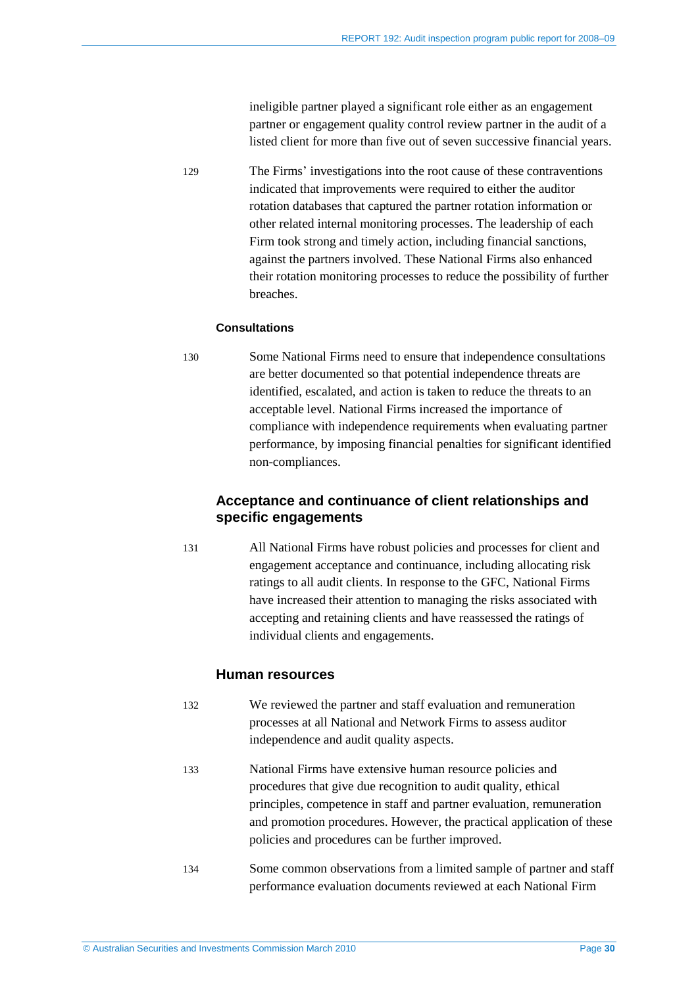ineligible partner played a significant role either as an engagement partner or engagement quality control review partner in the audit of a listed client for more than five out of seven successive financial years.

129 The Firms' investigations into the root cause of these contraventions indicated that improvements were required to either the auditor rotation databases that captured the partner rotation information or other related internal monitoring processes. The leadership of each Firm took strong and timely action, including financial sanctions, against the partners involved. These National Firms also enhanced their rotation monitoring processes to reduce the possibility of further breaches.

#### **Consultations**

130 Some National Firms need to ensure that independence consultations are better documented so that potential independence threats are identified, escalated, and action is taken to reduce the threats to an acceptable level. National Firms increased the importance of compliance with independence requirements when evaluating partner performance, by imposing financial penalties for significant identified non-compliances.

#### **Acceptance and continuance of client relationships and specific engagements**

131 All National Firms have robust policies and processes for client and engagement acceptance and continuance, including allocating risk ratings to all audit clients. In response to the GFC, National Firms have increased their attention to managing the risks associated with accepting and retaining clients and have reassessed the ratings of individual clients and engagements.

#### **Human resources**

- 132 We reviewed the partner and staff evaluation and remuneration processes at all National and Network Firms to assess auditor independence and audit quality aspects.
- 133 National Firms have extensive human resource policies and procedures that give due recognition to audit quality, ethical principles, competence in staff and partner evaluation, remuneration and promotion procedures. However, the practical application of these policies and procedures can be further improved.
- 134 Some common observations from a limited sample of partner and staff performance evaluation documents reviewed at each National Firm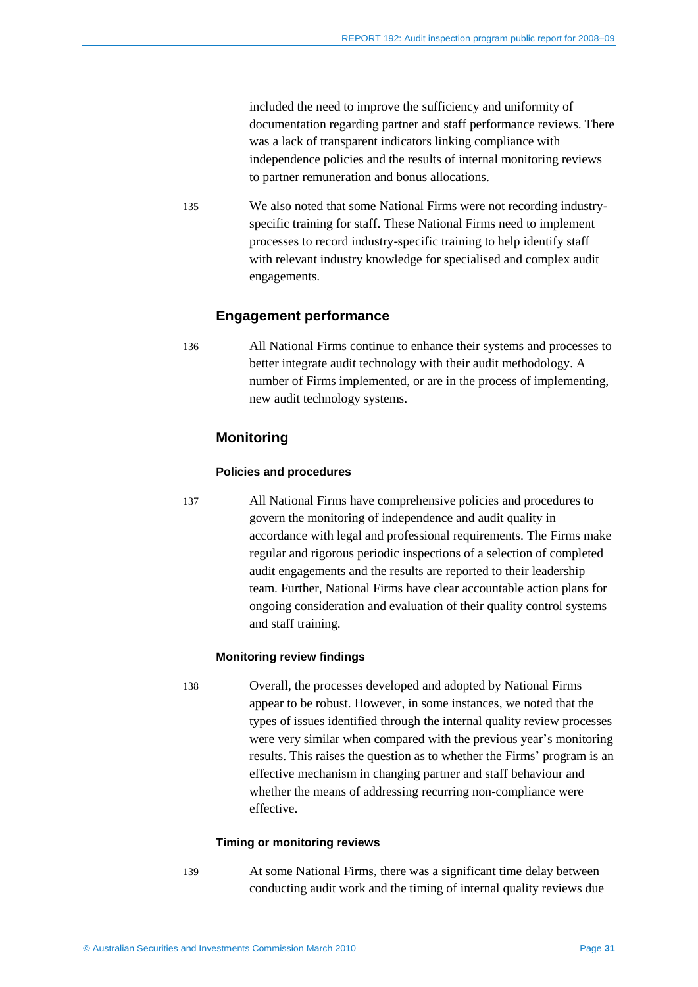included the need to improve the sufficiency and uniformity of documentation regarding partner and staff performance reviews. There was a lack of transparent indicators linking compliance with independence policies and the results of internal monitoring reviews to partner remuneration and bonus allocations.

135 We also noted that some National Firms were not recording industryspecific training for staff. These National Firms need to implement processes to record industry-specific training to help identify staff with relevant industry knowledge for specialised and complex audit engagements.

#### **Engagement performance**

136 All National Firms continue to enhance their systems and processes to better integrate audit technology with their audit methodology. A number of Firms implemented, or are in the process of implementing, new audit technology systems.

#### **Monitoring**

#### **Policies and procedures**

137 All National Firms have comprehensive policies and procedures to govern the monitoring of independence and audit quality in accordance with legal and professional requirements. The Firms make regular and rigorous periodic inspections of a selection of completed audit engagements and the results are reported to their leadership team. Further, National Firms have clear accountable action plans for ongoing consideration and evaluation of their quality control systems and staff training.

#### **Monitoring review findings**

138 Overall, the processes developed and adopted by National Firms appear to be robust. However, in some instances, we noted that the types of issues identified through the internal quality review processes were very similar when compared with the previous year's monitoring results. This raises the question as to whether the Firms' program is an effective mechanism in changing partner and staff behaviour and whether the means of addressing recurring non-compliance were effective.

#### **Timing or monitoring reviews**

139 At some National Firms, there was a significant time delay between conducting audit work and the timing of internal quality reviews due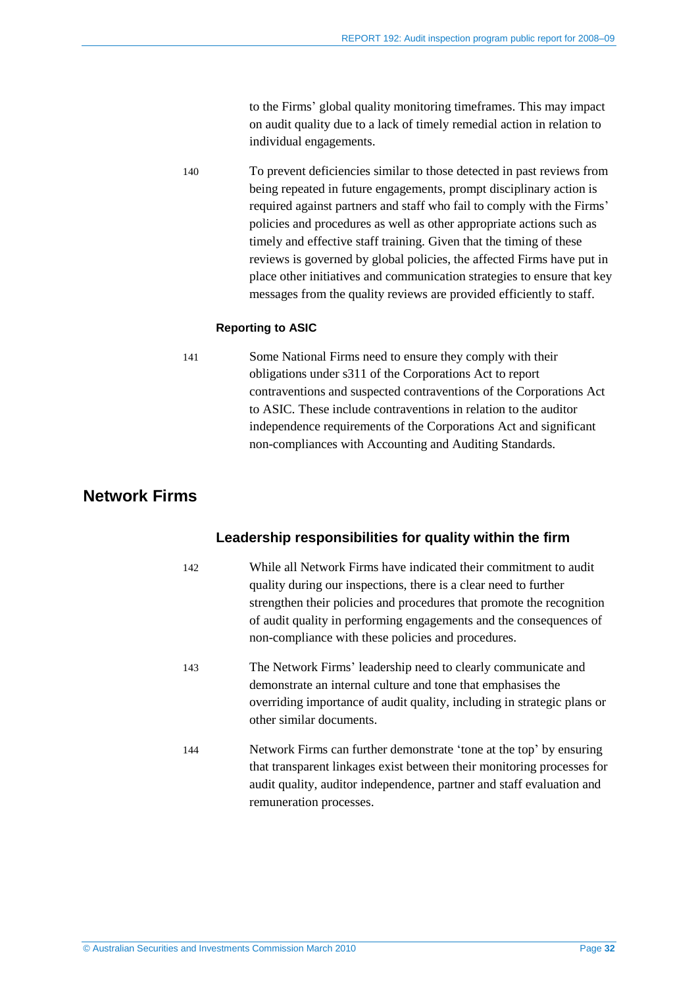to the Firms' global quality monitoring timeframes. This may impact on audit quality due to a lack of timely remedial action in relation to individual engagements.

140 To prevent deficiencies similar to those detected in past reviews from being repeated in future engagements, prompt disciplinary action is required against partners and staff who fail to comply with the Firms' policies and procedures as well as other appropriate actions such as timely and effective staff training. Given that the timing of these reviews is governed by global policies, the affected Firms have put in place other initiatives and communication strategies to ensure that key messages from the quality reviews are provided efficiently to staff.

#### **Reporting to ASIC**

141 Some National Firms need to ensure they comply with their obligations under s311 of the Corporations Act to report contraventions and suspected contraventions of the Corporations Act to ASIC. These include contraventions in relation to the auditor independence requirements of the Corporations Act and significant non-compliances with Accounting and Auditing Standards.

## <span id="page-31-0"></span>**Network Firms**

#### **Leadership responsibilities for quality within the firm**

- 142 While all Network Firms have indicated their commitment to audit quality during our inspections, there is a clear need to further strengthen their policies and procedures that promote the recognition of audit quality in performing engagements and the consequences of non-compliance with these policies and procedures.
- 143 The Network Firms' leadership need to clearly communicate and demonstrate an internal culture and tone that emphasises the overriding importance of audit quality, including in strategic plans or other similar documents.
- 144 Network Firms can further demonstrate 'tone at the top' by ensuring that transparent linkages exist between their monitoring processes for audit quality, auditor independence, partner and staff evaluation and remuneration processes.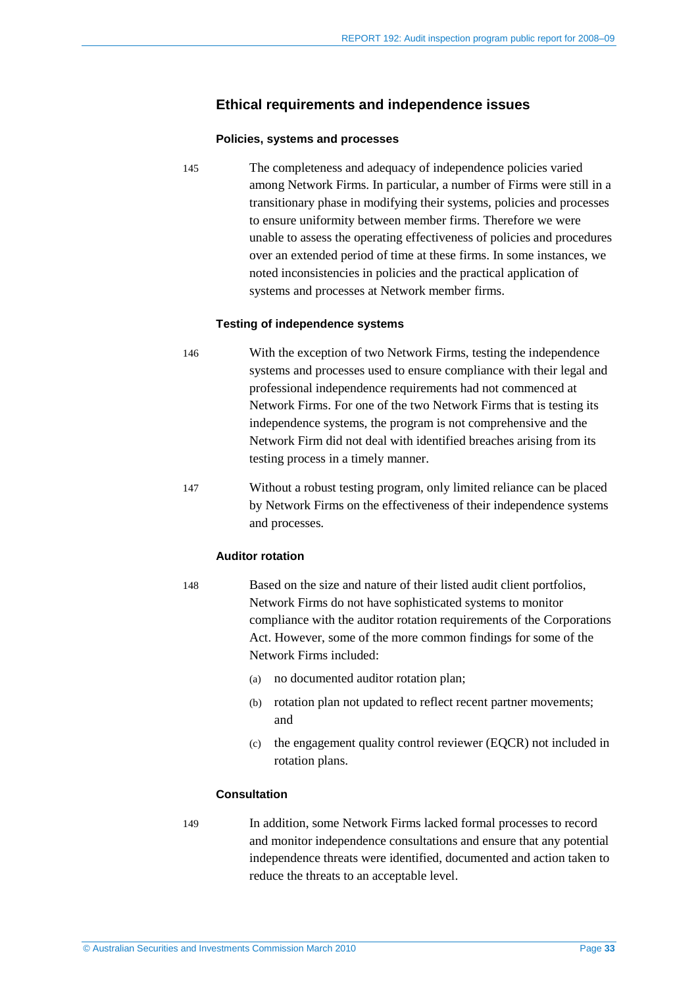#### **Ethical requirements and independence issues**

#### **Policies, systems and processes**

145 The completeness and adequacy of independence policies varied among Network Firms. In particular, a number of Firms were still in a transitionary phase in modifying their systems, policies and processes to ensure uniformity between member firms. Therefore we were unable to assess the operating effectiveness of policies and procedures over an extended period of time at these firms. In some instances, we noted inconsistencies in policies and the practical application of systems and processes at Network member firms.

#### **Testing of independence systems**

- 146 With the exception of two Network Firms, testing the independence systems and processes used to ensure compliance with their legal and professional independence requirements had not commenced at Network Firms. For one of the two Network Firms that is testing its independence systems, the program is not comprehensive and the Network Firm did not deal with identified breaches arising from its testing process in a timely manner.
- 147 Without a robust testing program, only limited reliance can be placed by Network Firms on the effectiveness of their independence systems and processes.

#### **Auditor rotation**

- 148 Based on the size and nature of their listed audit client portfolios, Network Firms do not have sophisticated systems to monitor compliance with the auditor rotation requirements of the Corporations Act. However, some of the more common findings for some of the Network Firms included:
	- (a) no documented auditor rotation plan;
	- (b) rotation plan not updated to reflect recent partner movements; and
	- (c) the engagement quality control reviewer (EQCR) not included in rotation plans.

#### **Consultation**

149 In addition, some Network Firms lacked formal processes to record and monitor independence consultations and ensure that any potential independence threats were identified, documented and action taken to reduce the threats to an acceptable level.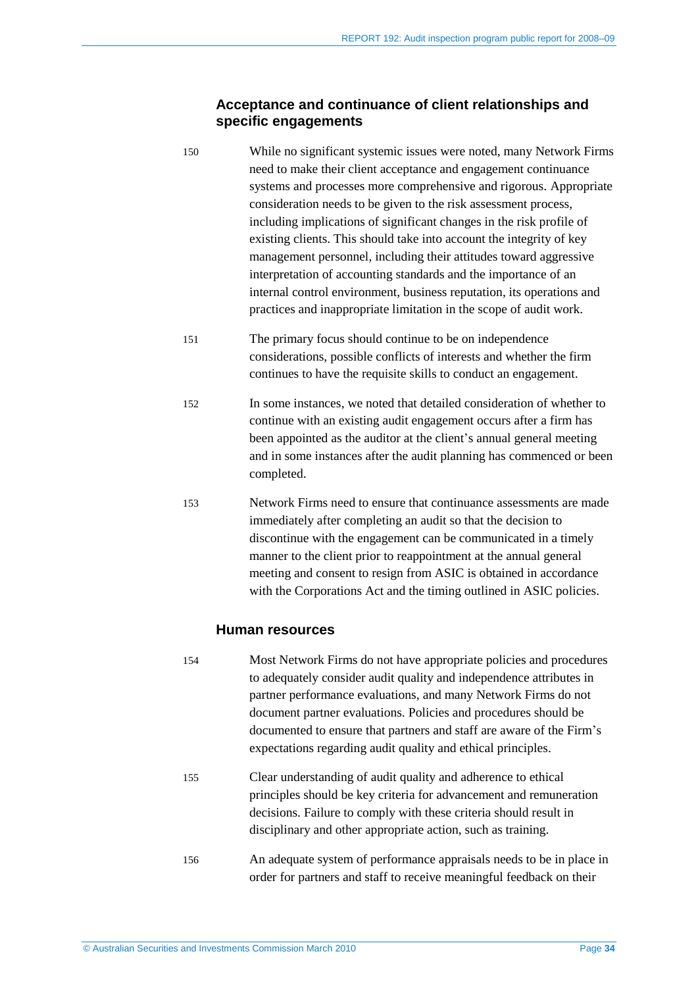#### **Acceptance and continuance of client relationships and specific engagements**

- 150 While no significant systemic issues were noted, many Network Firms need to make their client acceptance and engagement continuance systems and processes more comprehensive and rigorous. Appropriate consideration needs to be given to the risk assessment process, including implications of significant changes in the risk profile of existing clients. This should take into account the integrity of key management personnel, including their attitudes toward aggressive interpretation of accounting standards and the importance of an internal control environment, business reputation, its operations and practices and inappropriate limitation in the scope of audit work.
- 151 The primary focus should continue to be on independence considerations, possible conflicts of interests and whether the firm continues to have the requisite skills to conduct an engagement.
- 152 In some instances, we noted that detailed consideration of whether to continue with an existing audit engagement occurs after a firm has been appointed as the auditor at the client's annual general meeting and in some instances after the audit planning has commenced or been completed.
- 153 Network Firms need to ensure that continuance assessments are made immediately after completing an audit so that the decision to discontinue with the engagement can be communicated in a timely manner to the client prior to reappointment at the annual general meeting and consent to resign from ASIC is obtained in accordance with the Corporations Act and the timing outlined in ASIC policies.

#### **Human resources**

- 154 Most Network Firms do not have appropriate policies and procedures to adequately consider audit quality and independence attributes in partner performance evaluations, and many Network Firms do not document partner evaluations. Policies and procedures should be documented to ensure that partners and staff are aware of the Firm's expectations regarding audit quality and ethical principles.
- 155 Clear understanding of audit quality and adherence to ethical principles should be key criteria for advancement and remuneration decisions. Failure to comply with these criteria should result in disciplinary and other appropriate action, such as training.
- 156 An adequate system of performance appraisals needs to be in place in order for partners and staff to receive meaningful feedback on their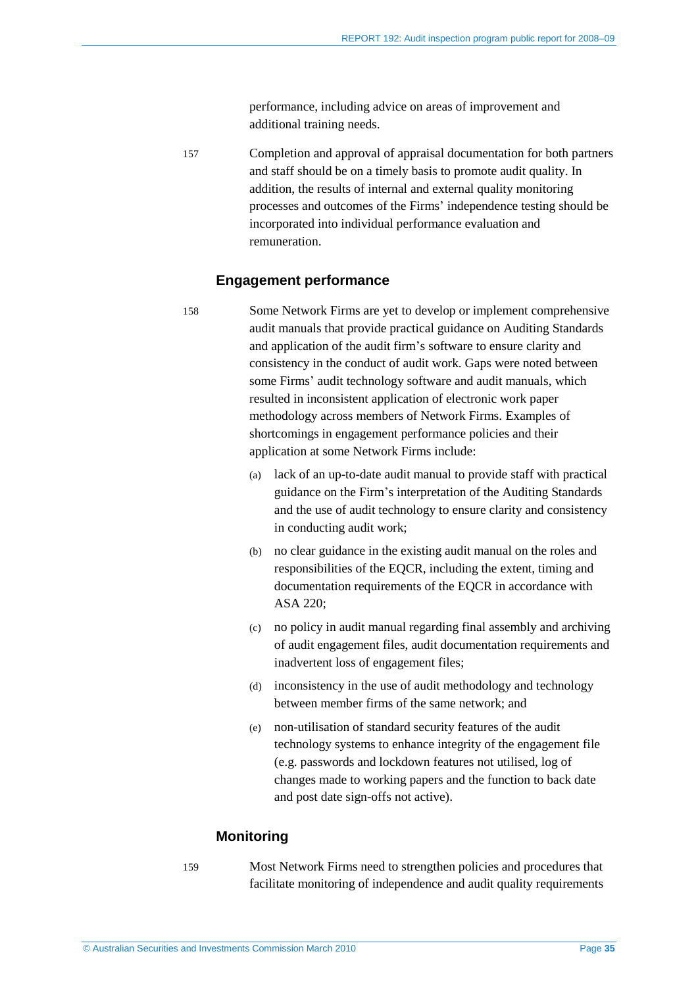performance, including advice on areas of improvement and additional training needs.

157 Completion and approval of appraisal documentation for both partners and staff should be on a timely basis to promote audit quality. In addition, the results of internal and external quality monitoring processes and outcomes of the Firms' independence testing should be incorporated into individual performance evaluation and remuneration.

#### **Engagement performance**

- 158 Some Network Firms are yet to develop or implement comprehensive audit manuals that provide practical guidance on Auditing Standards and application of the audit firm's software to ensure clarity and consistency in the conduct of audit work. Gaps were noted between some Firms' audit technology software and audit manuals, which resulted in inconsistent application of electronic work paper methodology across members of Network Firms. Examples of shortcomings in engagement performance policies and their application at some Network Firms include:
	- (a) lack of an up-to-date audit manual to provide staff with practical guidance on the Firm's interpretation of the Auditing Standards and the use of audit technology to ensure clarity and consistency in conducting audit work;
	- (b) no clear guidance in the existing audit manual on the roles and responsibilities of the EQCR, including the extent, timing and documentation requirements of the EQCR in accordance with ASA 220;
	- (c) no policy in audit manual regarding final assembly and archiving of audit engagement files, audit documentation requirements and inadvertent loss of engagement files;
	- (d) inconsistency in the use of audit methodology and technology between member firms of the same network; and
	- (e) non-utilisation of standard security features of the audit technology systems to enhance integrity of the engagement file (e.g. passwords and lockdown features not utilised, log of changes made to working papers and the function to back date and post date sign-offs not active).

#### **Monitoring**

- 
- 159 Most Network Firms need to strengthen policies and procedures that facilitate monitoring of independence and audit quality requirements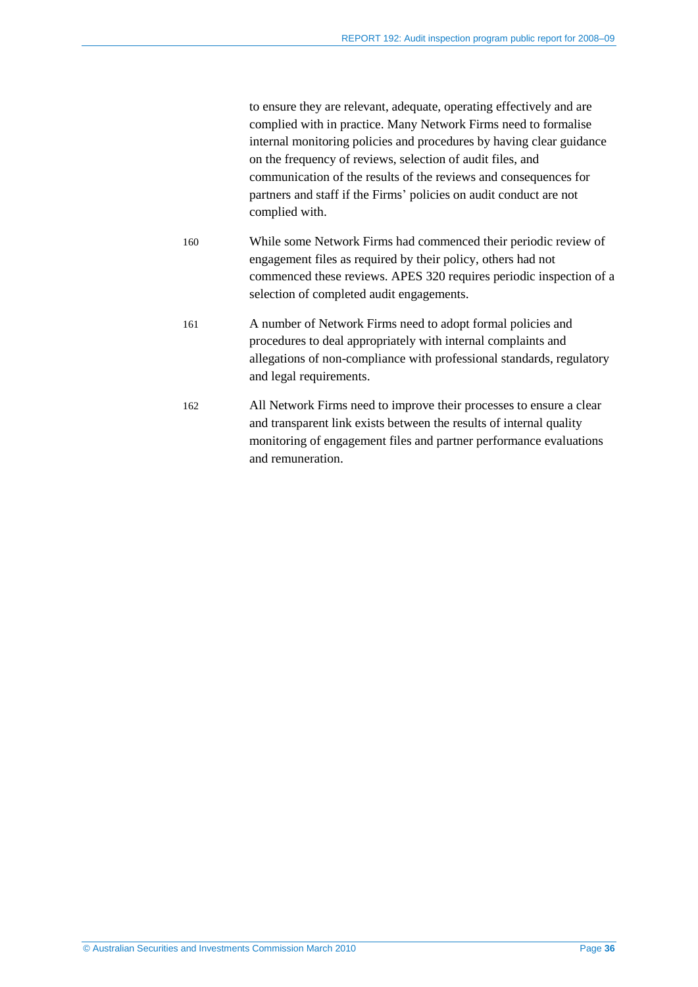to ensure they are relevant, adequate, operating effectively and are complied with in practice. Many Network Firms need to formalise internal monitoring policies and procedures by having clear guidance on the frequency of reviews, selection of audit files, and communication of the results of the reviews and consequences for partners and staff if the Firms' policies on audit conduct are not complied with.

- 160 While some Network Firms had commenced their periodic review of engagement files as required by their policy, others had not commenced these reviews. APES 320 requires periodic inspection of a selection of completed audit engagements.
- 161 A number of Network Firms need to adopt formal policies and procedures to deal appropriately with internal complaints and allegations of non-compliance with professional standards, regulatory and legal requirements.
- 162 All Network Firms need to improve their processes to ensure a clear and transparent link exists between the results of internal quality monitoring of engagement files and partner performance evaluations and remuneration.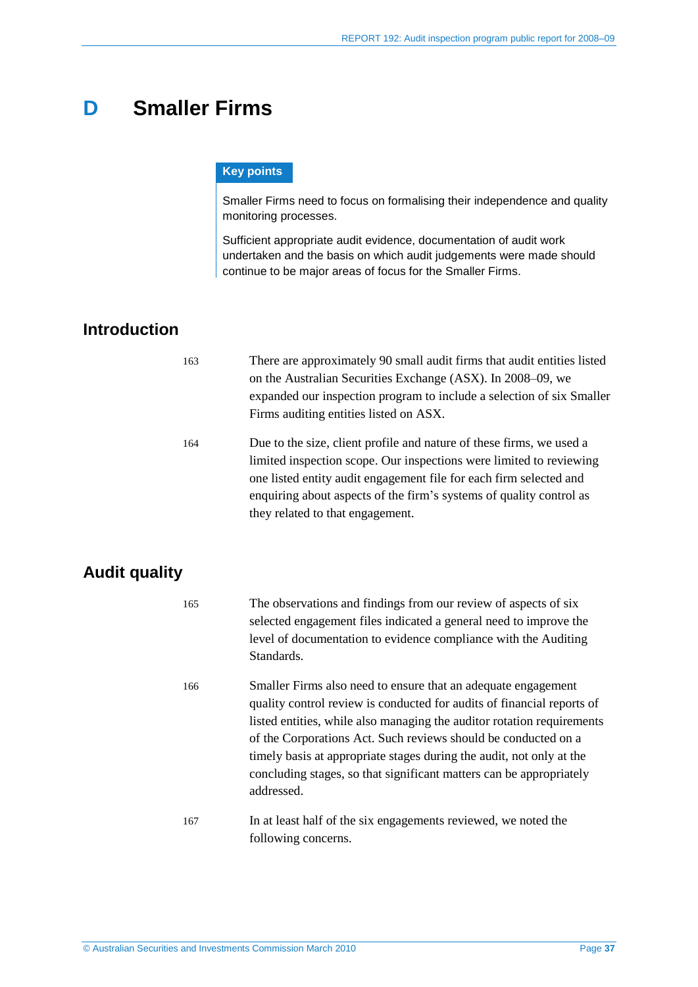## <span id="page-36-0"></span>**D Smaller Firms**

#### **Key points**

Smaller Firms need to focus on formalising their independence and quality monitoring processes.

Sufficient appropriate audit evidence, documentation of audit work undertaken and the basis on which audit judgements were made should continue to be major areas of focus for the Smaller Firms.

## <span id="page-36-1"></span>**Introduction**

| 163 | There are approximately 90 small audit firms that audit entities listed<br>on the Australian Securities Exchange (ASX). In 2008–09, we<br>expanded our inspection program to include a selection of six Smaller<br>Firms auditing entities listed on ASX.                                                                    |
|-----|------------------------------------------------------------------------------------------------------------------------------------------------------------------------------------------------------------------------------------------------------------------------------------------------------------------------------|
| 164 | Due to the size, client profile and nature of these firms, we used a<br>limited inspection scope. Our inspections were limited to reviewing<br>one listed entity audit engagement file for each firm selected and<br>enquiring about aspects of the firm's systems of quality control as<br>they related to that engagement. |

## <span id="page-36-2"></span>**Audit quality**

| 165 | The observations and findings from our review of aspects of six<br>selected engagement files indicated a general need to improve the<br>level of documentation to evidence compliance with the Auditing<br>Standards.                                                                                                                                                                                                                            |
|-----|--------------------------------------------------------------------------------------------------------------------------------------------------------------------------------------------------------------------------------------------------------------------------------------------------------------------------------------------------------------------------------------------------------------------------------------------------|
| 166 | Smaller Firms also need to ensure that an adequate engagement<br>quality control review is conducted for audits of financial reports of<br>listed entities, while also managing the auditor rotation requirements<br>of the Corporations Act. Such reviews should be conducted on a<br>timely basis at appropriate stages during the audit, not only at the<br>concluding stages, so that significant matters can be appropriately<br>addressed. |
| 167 | In at least half of the six engagements reviewed, we noted the<br>following concerns.                                                                                                                                                                                                                                                                                                                                                            |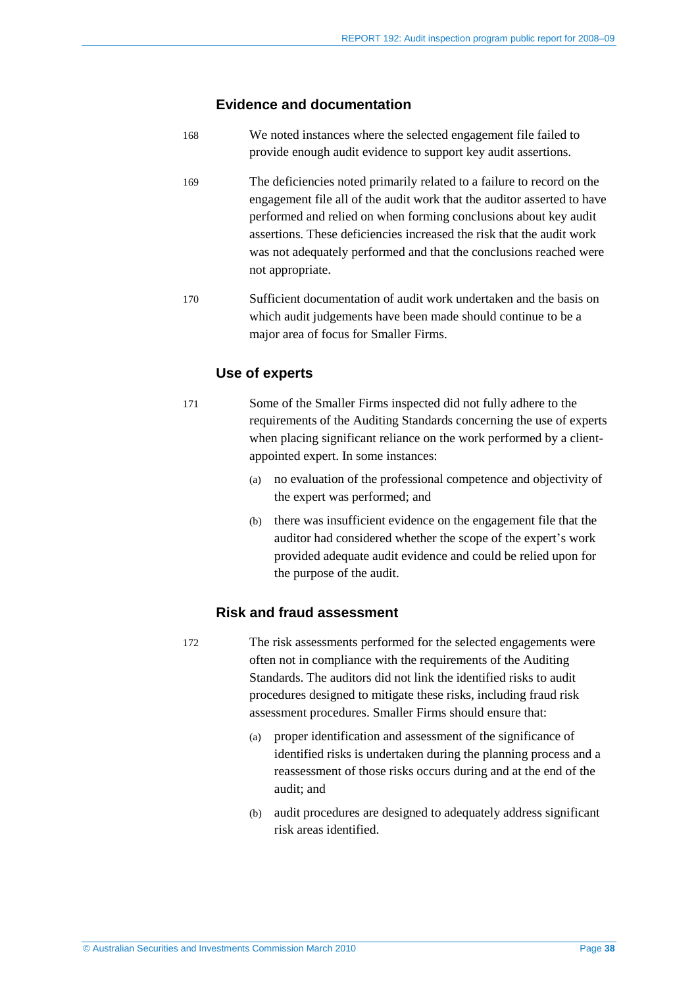#### **Evidence and documentation**

- 168 We noted instances where the selected engagement file failed to provide enough audit evidence to support key audit assertions.
- 169 The deficiencies noted primarily related to a failure to record on the engagement file all of the audit work that the auditor asserted to have performed and relied on when forming conclusions about key audit assertions. These deficiencies increased the risk that the audit work was not adequately performed and that the conclusions reached were not appropriate.
- 170 Sufficient documentation of audit work undertaken and the basis on which audit judgements have been made should continue to be a major area of focus for Smaller Firms.

#### **Use of experts**

- 171 Some of the Smaller Firms inspected did not fully adhere to the requirements of the Auditing Standards concerning the use of experts when placing significant reliance on the work performed by a clientappointed expert. In some instances:
	- (a) no evaluation of the professional competence and objectivity of the expert was performed; and
	- (b) there was insufficient evidence on the engagement file that the auditor had considered whether the scope of the expert's work provided adequate audit evidence and could be relied upon for the purpose of the audit.

#### **Risk and fraud assessment**

- 172 The risk assessments performed for the selected engagements were often not in compliance with the requirements of the Auditing Standards. The auditors did not link the identified risks to audit procedures designed to mitigate these risks, including fraud risk assessment procedures. Smaller Firms should ensure that:
	- (a) proper identification and assessment of the significance of identified risks is undertaken during the planning process and a reassessment of those risks occurs during and at the end of the audit; and
	- (b) audit procedures are designed to adequately address significant risk areas identified.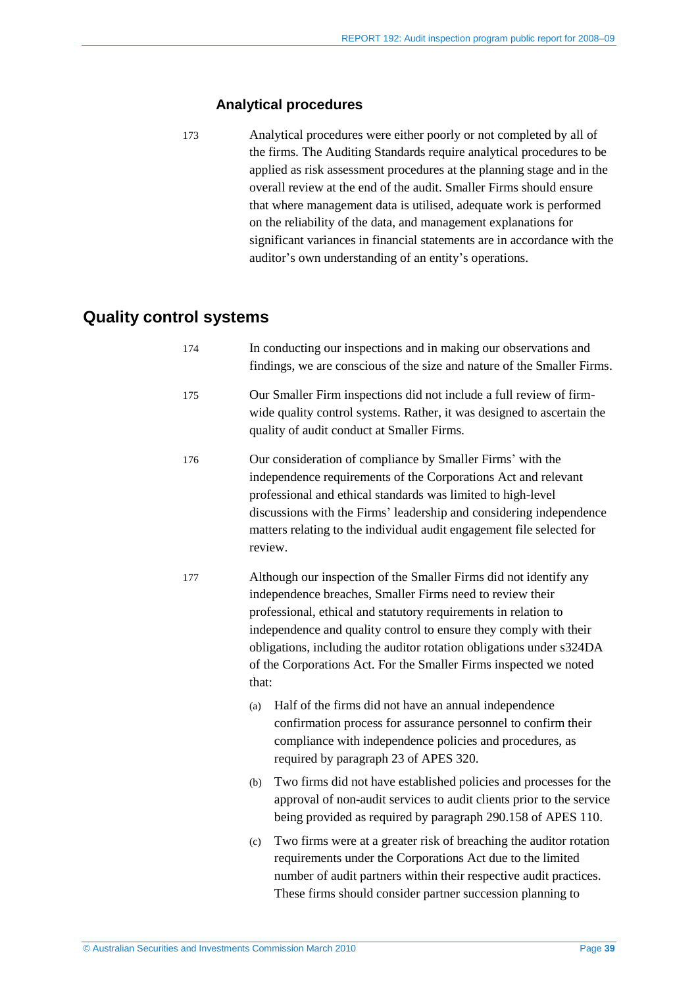#### **Analytical procedures**

173 Analytical procedures were either poorly or not completed by all of the firms. The Auditing Standards require analytical procedures to be applied as risk assessment procedures at the planning stage and in the overall review at the end of the audit. Smaller Firms should ensure that where management data is utilised, adequate work is performed on the reliability of the data, and management explanations for significant variances in financial statements are in accordance with the auditor's own understanding of an entity's operations.

## <span id="page-38-0"></span>**Quality control systems**

| 174 | In conducting our inspections and in making our observations and<br>findings, we are conscious of the size and nature of the Smaller Firms.                                                                                                                                                                                                                                                                                  |  |  |
|-----|------------------------------------------------------------------------------------------------------------------------------------------------------------------------------------------------------------------------------------------------------------------------------------------------------------------------------------------------------------------------------------------------------------------------------|--|--|
| 175 | Our Smaller Firm inspections did not include a full review of firm-<br>wide quality control systems. Rather, it was designed to ascertain the<br>quality of audit conduct at Smaller Firms.                                                                                                                                                                                                                                  |  |  |
| 176 | Our consideration of compliance by Smaller Firms' with the<br>independence requirements of the Corporations Act and relevant<br>professional and ethical standards was limited to high-level<br>discussions with the Firms' leadership and considering independence<br>matters relating to the individual audit engagement file selected for<br>review.                                                                      |  |  |
| 177 | Although our inspection of the Smaller Firms did not identify any<br>independence breaches, Smaller Firms need to review their<br>professional, ethical and statutory requirements in relation to<br>independence and quality control to ensure they comply with their<br>obligations, including the auditor rotation obligations under s324DA<br>of the Corporations Act. For the Smaller Firms inspected we noted<br>that: |  |  |
|     | Half of the firms did not have an annual independence<br>(a)<br>confirmation process for assurance personnel to confirm their<br>compliance with independence policies and procedures, as<br>required by paragraph 23 of APES 320.                                                                                                                                                                                           |  |  |
|     | Two firms did not have established policies and processes for the<br>(b)<br>approval of non-audit services to audit clients prior to the service<br>being provided as required by paragraph 290.158 of APES 110.                                                                                                                                                                                                             |  |  |
|     | Two firms were at a greater risk of breaching the auditor rotation<br>(c)<br>requirements under the Corporations Act due to the limited<br>number of audit partners within their respective audit practices.<br>These firms should consider partner succession planning to                                                                                                                                                   |  |  |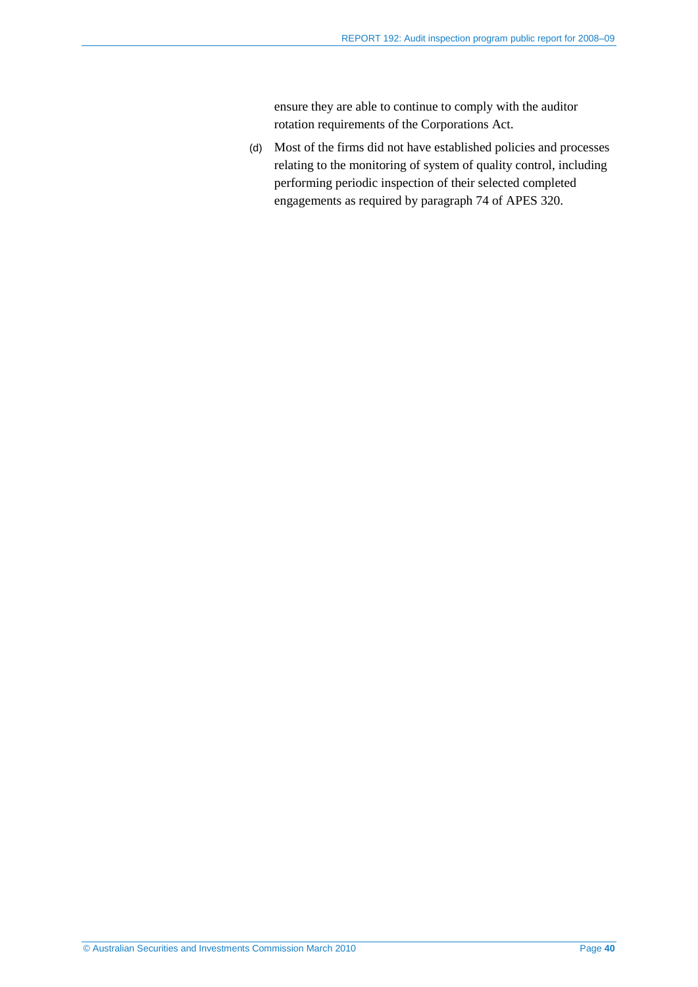ensure they are able to continue to comply with the auditor rotation requirements of the Corporations Act.

(d) Most of the firms did not have established policies and processes relating to the monitoring of system of quality control, including performing periodic inspection of their selected completed engagements as required by paragraph 74 of APES 320.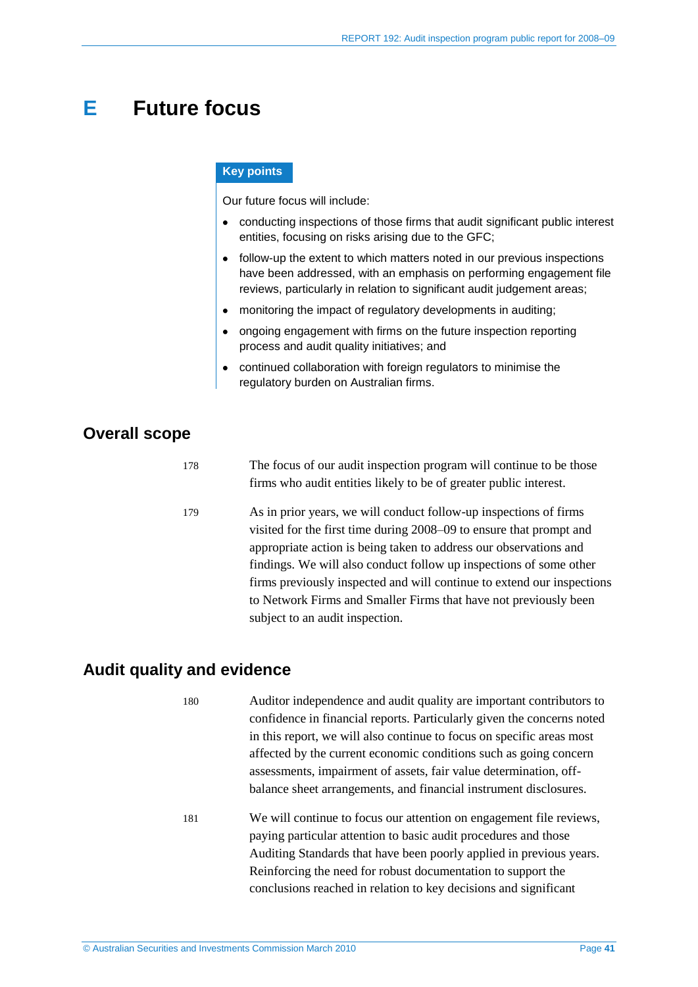## <span id="page-40-0"></span>**E Future focus**

#### **Key points**

Our future focus will include:

- conducting inspections of those firms that audit significant public interest entities, focusing on risks arising due to the GFC;
- follow-up the extent to which matters noted in our previous inspections have been addressed, with an emphasis on performing engagement file reviews, particularly in relation to significant audit judgement areas;
- monitoring the impact of regulatory developments in auditing;  $\bullet$
- ongoing engagement with firms on the future inspection reporting process and audit quality initiatives; and
- continued collaboration with foreign regulators to minimise the regulatory burden on Australian firms.

## <span id="page-40-1"></span>**Overall scope**

| 178 | The focus of our audit inspection program will continue to be those |
|-----|---------------------------------------------------------------------|
|     | firms who audit entities likely to be of greater public interest.   |

179 As in prior years, we will conduct follow-up inspections of firms visited for the first time during 2008–09 to ensure that prompt and appropriate action is being taken to address our observations and findings. We will also conduct follow up inspections of some other firms previously inspected and will continue to extend our inspections to Network Firms and Smaller Firms that have not previously been subject to an audit inspection.

### <span id="page-40-2"></span>**Audit quality and evidence**

180 Auditor independence and audit quality are important contributors to confidence in financial reports. Particularly given the concerns noted in this report, we will also continue to focus on specific areas most affected by the current economic conditions such as going concern assessments, impairment of assets, fair value determination, offbalance sheet arrangements, and financial instrument disclosures.

181 We will continue to focus our attention on engagement file reviews, paying particular attention to basic audit procedures and those Auditing Standards that have been poorly applied in previous years. Reinforcing the need for robust documentation to support the conclusions reached in relation to key decisions and significant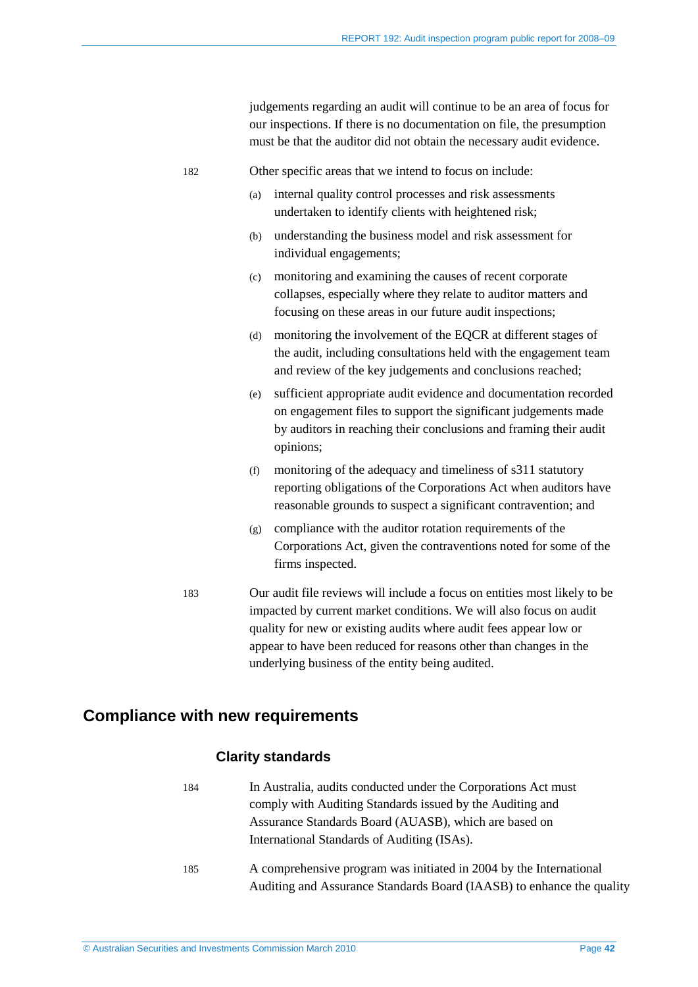|     |     | judgements regarding an audit will continue to be an area of focus for<br>our inspections. If there is no documentation on file, the presumption<br>must be that the auditor did not obtain the necessary audit evidence.                                                                 |  |  |  |
|-----|-----|-------------------------------------------------------------------------------------------------------------------------------------------------------------------------------------------------------------------------------------------------------------------------------------------|--|--|--|
| 182 |     | Other specific areas that we intend to focus on include:                                                                                                                                                                                                                                  |  |  |  |
|     | (a) | internal quality control processes and risk assessments<br>undertaken to identify clients with heightened risk;                                                                                                                                                                           |  |  |  |
|     |     | understanding the business model and risk assessment for<br>(b)<br>individual engagements;                                                                                                                                                                                                |  |  |  |
|     | (c) | monitoring and examining the causes of recent corporate<br>collapses, especially where they relate to auditor matters and<br>focusing on these areas in our future audit inspections;                                                                                                     |  |  |  |
|     |     | monitoring the involvement of the EQCR at different stages of<br>(d)<br>the audit, including consultations held with the engagement team<br>and review of the key judgements and conclusions reached;                                                                                     |  |  |  |
|     |     | sufficient appropriate audit evidence and documentation recorded<br>(e)<br>on engagement files to support the significant judgements made<br>by auditors in reaching their conclusions and framing their audit<br>opinions;                                                               |  |  |  |
|     | (f) | monitoring of the adequacy and timeliness of s311 statutory<br>reporting obligations of the Corporations Act when auditors have<br>reasonable grounds to suspect a significant contravention; and                                                                                         |  |  |  |
|     |     | compliance with the auditor rotation requirements of the<br>(g)<br>Corporations Act, given the contraventions noted for some of the<br>firms inspected.                                                                                                                                   |  |  |  |
| 183 |     | Our audit file reviews will include a focus on entities most likely to be<br>impacted by current market conditions. We will also focus on audit<br>quality for new or existing audits where audit fees appear low or<br>appear to have been reduced for reasons other than changes in the |  |  |  |

## <span id="page-41-0"></span>**Compliance with new requirements**

#### **Clarity standards**

184 In Australia, audits conducted under the Corporations Act must comply with Auditing Standards issued by the Auditing and Assurance Standards Board (AUASB), which are based on International Standards of Auditing (ISAs).

underlying business of the entity being audited.

185 A comprehensive program was initiated in 2004 by the International Auditing and Assurance Standards Board (IAASB) to enhance the quality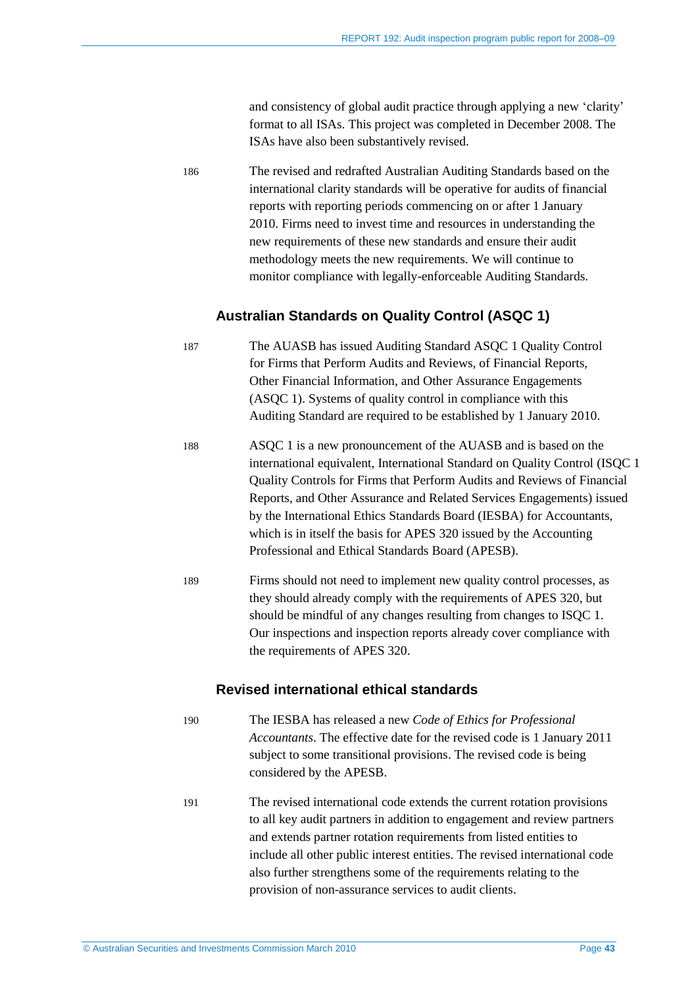and consistency of global audit practice through applying a new 'clarity' format to all ISAs. This project was completed in December 2008. The ISAs have also been substantively revised.

186 The revised and redrafted Australian Auditing Standards based on the international clarity standards will be operative for audits of financial reports with reporting periods commencing on or after 1 January 2010. Firms need to invest time and resources in understanding the new requirements of these new standards and ensure their audit methodology meets the new requirements. We will continue to monitor compliance with legally-enforceable Auditing Standards.

#### **Australian Standards on Quality Control (ASQC 1)**

187 The AUASB has issued Auditing Standard ASQC 1 Quality Control for Firms that Perform Audits and Reviews, of Financial Reports, Other Financial Information, and Other Assurance Engagements (ASQC 1). Systems of quality control in compliance with this Auditing Standard are required to be established by 1 January 2010.

- 188 ASQC 1 is a new pronouncement of the AUASB and is based on the international equivalent, International Standard on Quality Control (ISQC 1 Quality Controls for Firms that Perform Audits and Reviews of Financial Reports, and Other Assurance and Related Services Engagements) issued by the International Ethics Standards Board (IESBA) for Accountants, which is in itself the basis for APES 320 issued by the Accounting Professional and Ethical Standards Board (APESB).
- 189 Firms should not need to implement new quality control processes, as they should already comply with the requirements of APES 320, but should be mindful of any changes resulting from changes to ISQC 1. Our inspections and inspection reports already cover compliance with the requirements of APES 320.

#### **Revised international ethical standards**

- 190 The IESBA has released a new *Code of Ethics for Professional Accountants*. The effective date for the revised code is 1 January 2011 subject to some transitional provisions. The revised code is being considered by the APESB.
- 191 The revised international code extends the current rotation provisions to all key audit partners in addition to engagement and review partners and extends partner rotation requirements from listed entities to include all other public interest entities. The revised international code also further strengthens some of the requirements relating to the provision of non-assurance services to audit clients.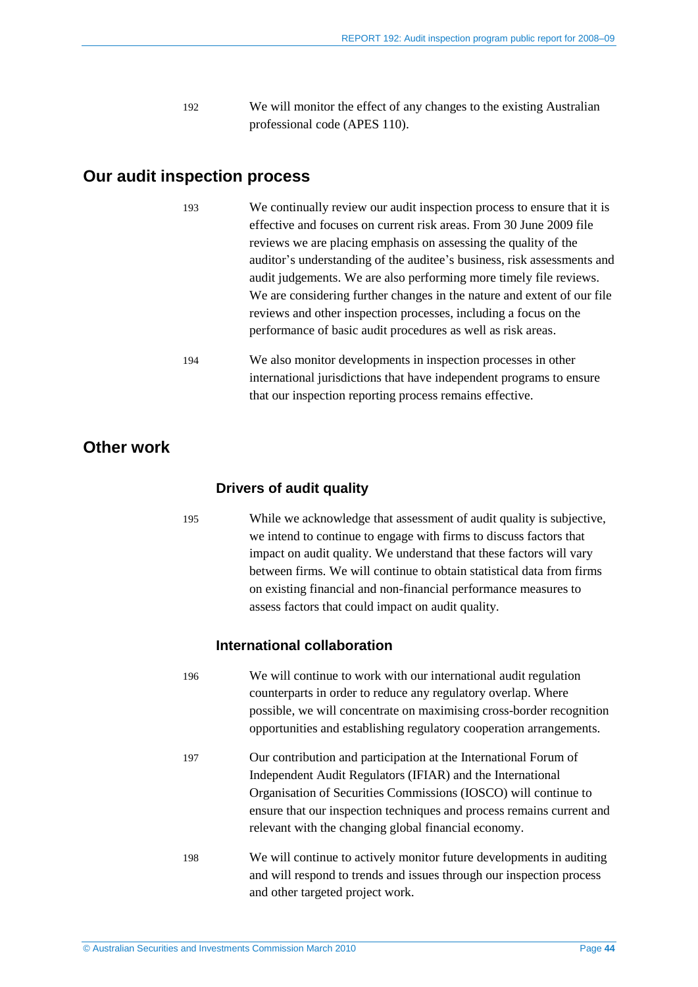192 We will monitor the effect of any changes to the existing Australian professional code (APES 110).

### <span id="page-43-0"></span>**Our audit inspection process**

| 193 | We continually review our audit inspection process to ensure that it is |
|-----|-------------------------------------------------------------------------|
|     | effective and focuses on current risk areas. From 30 June 2009 file     |
|     | reviews we are placing emphasis on assessing the quality of the         |
|     | auditor's understanding of the auditee's business, risk assessments and |
|     | audit judgements. We are also performing more timely file reviews.      |
|     | We are considering further changes in the nature and extent of our file |
|     | reviews and other inspection processes, including a focus on the        |
|     | performance of basic audit procedures as well as risk areas.            |
| 194 | We also monitor developments in inspection processes in other           |
|     | international jurisdictions that have independent programs to ensure    |

that our inspection reporting process remains effective.

## <span id="page-43-1"></span>**Other work**

#### **Drivers of audit quality**

195 While we acknowledge that assessment of audit quality is subjective, we intend to continue to engage with firms to discuss factors that impact on audit quality. We understand that these factors will vary between firms. We will continue to obtain statistical data from firms on existing financial and non-financial performance measures to assess factors that could impact on audit quality.

#### **International collaboration**

- 196 We will continue to work with our international audit regulation counterparts in order to reduce any regulatory overlap. Where possible, we will concentrate on maximising cross-border recognition opportunities and establishing regulatory cooperation arrangements.
- 197 Our contribution and participation at the International Forum of Independent Audit Regulators (IFIAR) and the International Organisation of Securities Commissions (IOSCO) will continue to ensure that our inspection techniques and process remains current and relevant with the changing global financial economy.
- 198 We will continue to actively monitor future developments in auditing and will respond to trends and issues through our inspection process and other targeted project work.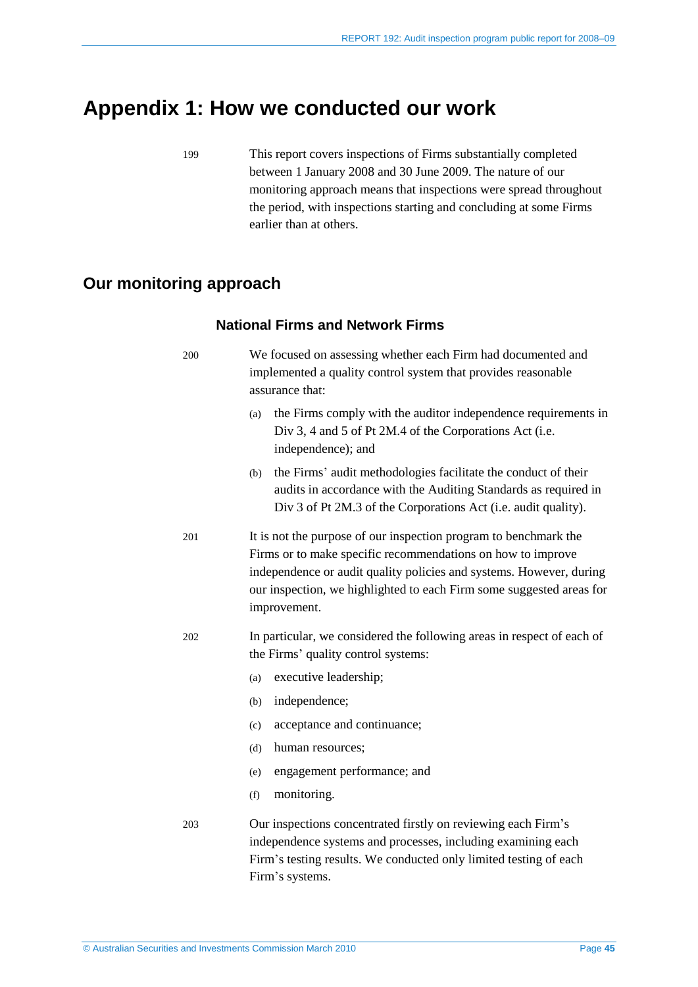## <span id="page-44-0"></span>**Appendix 1: How we conducted our work**

199 This report covers inspections of Firms substantially completed between 1 January 2008 and 30 June 2009. The nature of our monitoring approach means that inspections were spread throughout the period, with inspections starting and concluding at some Firms earlier than at others.

## <span id="page-44-1"></span>**Our monitoring approach**

#### **National Firms and Network Firms**

| 200 | We focused on assessing whether each Firm had documented and<br>implemented a quality control system that provides reasonable<br>assurance that:                                                                                                                                               |  |  |  |
|-----|------------------------------------------------------------------------------------------------------------------------------------------------------------------------------------------------------------------------------------------------------------------------------------------------|--|--|--|
|     | the Firms comply with the auditor independence requirements in<br>(a)<br>Div 3, 4 and 5 of Pt 2M.4 of the Corporations Act (i.e.<br>independence); and                                                                                                                                         |  |  |  |
|     | the Firms' audit methodologies facilitate the conduct of their<br>(b)<br>audits in accordance with the Auditing Standards as required in<br>Div 3 of Pt 2M.3 of the Corporations Act (i.e. audit quality).                                                                                     |  |  |  |
| 201 | It is not the purpose of our inspection program to benchmark the<br>Firms or to make specific recommendations on how to improve<br>independence or audit quality policies and systems. However, during<br>our inspection, we highlighted to each Firm some suggested areas for<br>improvement. |  |  |  |
| 202 | In particular, we considered the following areas in respect of each of<br>the Firms' quality control systems:<br>executive leadership;<br>(a)                                                                                                                                                  |  |  |  |
|     | independence;<br>(b)                                                                                                                                                                                                                                                                           |  |  |  |
|     | acceptance and continuance;<br>(c)                                                                                                                                                                                                                                                             |  |  |  |
|     | (d)<br>human resources;                                                                                                                                                                                                                                                                        |  |  |  |
|     | engagement performance; and<br>(e)                                                                                                                                                                                                                                                             |  |  |  |
|     | monitoring.<br>(f)                                                                                                                                                                                                                                                                             |  |  |  |
| 203 | Our inspections concentrated firstly on reviewing each Firm's<br>independence systems and processes, including examining each<br>Firm's testing results. We conducted only limited testing of each<br>Firm's systems.                                                                          |  |  |  |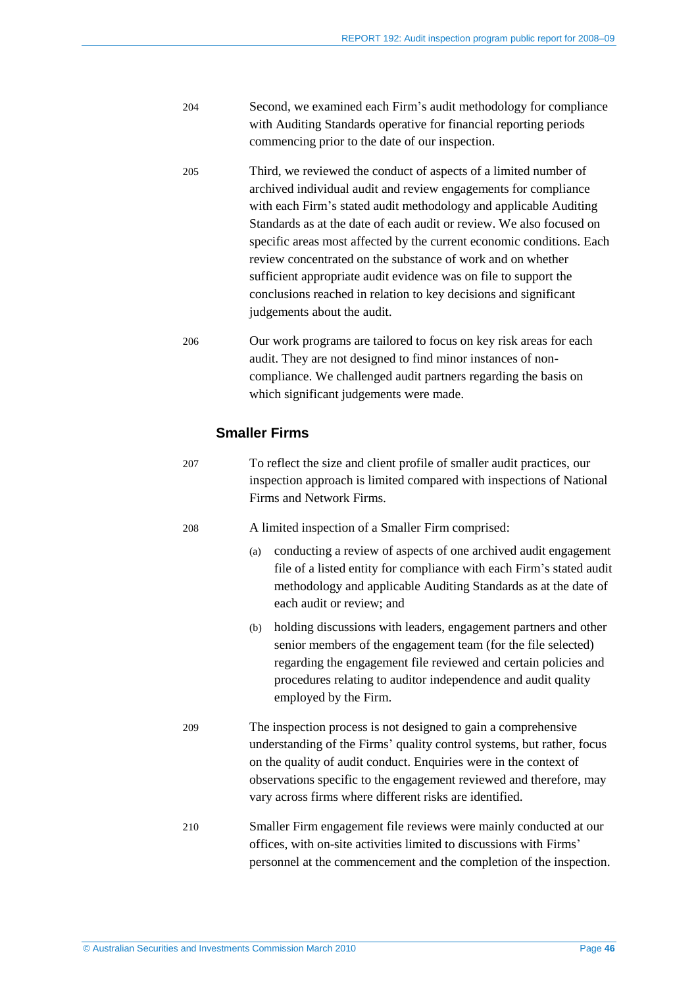| 204 | Second, we examined each Firm's audit methodology for compliance  |
|-----|-------------------------------------------------------------------|
|     | with Auditing Standards operative for financial reporting periods |
|     | commencing prior to the date of our inspection.                   |

- 205 Third, we reviewed the conduct of aspects of a limited number of archived individual audit and review engagements for compliance with each Firm's stated audit methodology and applicable Auditing Standards as at the date of each audit or review. We also focused on specific areas most affected by the current economic conditions. Each review concentrated on the substance of work and on whether sufficient appropriate audit evidence was on file to support the conclusions reached in relation to key decisions and significant judgements about the audit.
- 206 Our work programs are tailored to focus on key risk areas for each audit. They are not designed to find minor instances of noncompliance. We challenged audit partners regarding the basis on which significant judgements were made.

### **Smaller Firms**

| 207 | To reflect the size and client profile of smaller audit practices, our |
|-----|------------------------------------------------------------------------|
|     | inspection approach is limited compared with inspections of National   |
|     | Firms and Network Firms.                                               |

208 A limited inspection of a Smaller Firm comprised:

- (a) conducting a review of aspects of one archived audit engagement file of a listed entity for compliance with each Firm's stated audit methodology and applicable Auditing Standards as at the date of each audit or review; and
- (b) holding discussions with leaders, engagement partners and other senior members of the engagement team (for the file selected) regarding the engagement file reviewed and certain policies and procedures relating to auditor independence and audit quality employed by the Firm.
- 209 The inspection process is not designed to gain a comprehensive understanding of the Firms' quality control systems, but rather, focus on the quality of audit conduct. Enquiries were in the context of observations specific to the engagement reviewed and therefore, may vary across firms where different risks are identified.
- 210 Smaller Firm engagement file reviews were mainly conducted at our offices, with on-site activities limited to discussions with Firms' personnel at the commencement and the completion of the inspection.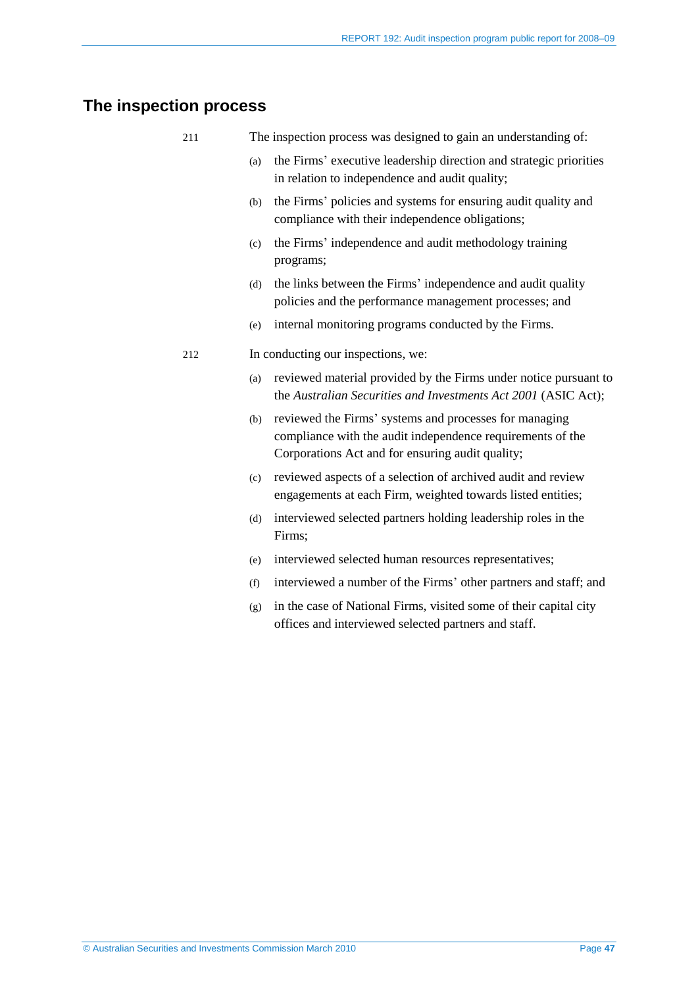### <span id="page-46-0"></span>**The inspection process**

| 211 | The inspection process was designed to gain an understanding of: |  |  |  |
|-----|------------------------------------------------------------------|--|--|--|
|     |                                                                  |  |  |  |

- (a) the Firms' executive leadership direction and strategic priorities in relation to independence and audit quality;
- (b) the Firms' policies and systems for ensuring audit quality and compliance with their independence obligations;
- (c) the Firms' independence and audit methodology training programs;
- (d) the links between the Firms' independence and audit quality policies and the performance management processes; and
- (e) internal monitoring programs conducted by the Firms.

#### 212 In conducting our inspections, we:

- (a) reviewed material provided by the Firms under notice pursuant to the *Australian Securities and Investments Act 2001* (ASIC Act);
- (b) reviewed the Firms' systems and processes for managing compliance with the audit independence requirements of the Corporations Act and for ensuring audit quality;
- (c) reviewed aspects of a selection of archived audit and review engagements at each Firm, weighted towards listed entities;
- (d) interviewed selected partners holding leadership roles in the Firms;
- (e) interviewed selected human resources representatives;
- (f) interviewed a number of the Firms' other partners and staff; and
- (g) in the case of National Firms, visited some of their capital city offices and interviewed selected partners and staff.